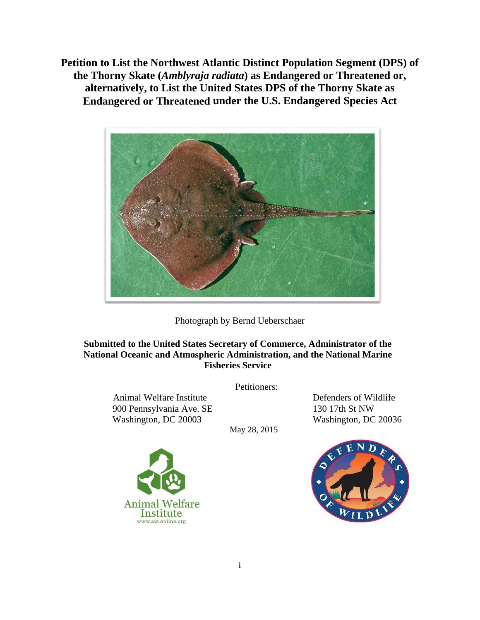**Petition to List the Northwest Atlantic Distinct Population Segment (DPS) of the Thorny Skate (***Amblyraja radiata***) as Endangered or Threatened or, alternatively, to List the United States DPS of the Thorny Skate as Endangered or Threatened under the U.S. Endangered Species Act**



Photograph by Bernd Ueberschaer

### **Submitted to the United States Secretary of Commerce, Administrator of the National Oceanic and Atmospheric Administration, and the National Marine Fisheries Service**

Petitioners:

Animal Welfare Institute Defenders of Wildlife 900 Pennsylvania Ave. SE 130 17th St NW Washington, DC 20003 Washington, DC 20036

May 28, 2015



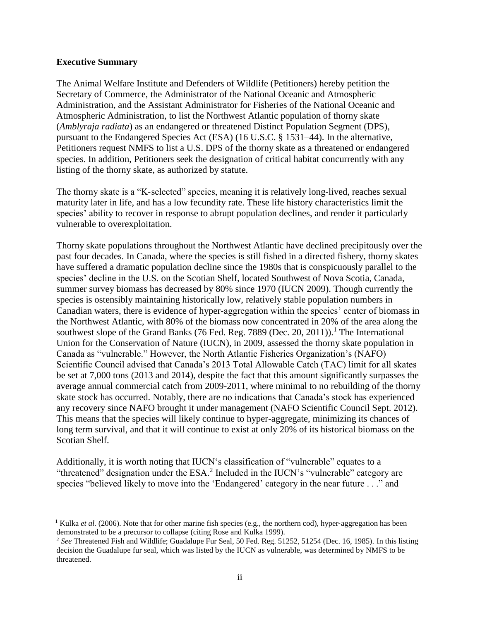#### **Executive Summary**

 $\overline{a}$ 

The Animal Welfare Institute and Defenders of Wildlife (Petitioners) hereby petition the Secretary of Commerce, the Administrator of the National Oceanic and Atmospheric Administration, and the Assistant Administrator for Fisheries of the National Oceanic and Atmospheric Administration, to list the Northwest Atlantic population of thorny skate (*Amblyraja radiata*) as an endangered or threatened Distinct Population Segment (DPS), pursuant to the Endangered Species Act (ESA) (16 U.S.C. § 1531–44). In the alternative, Petitioners request NMFS to list a U.S. DPS of the thorny skate as a threatened or endangered species. In addition, Petitioners seek the designation of critical habitat concurrently with any listing of the thorny skate, as authorized by statute.

The thorny skate is a "K‐selected" species, meaning it is relatively long‐lived, reaches sexual maturity later in life, and has a low fecundity rate. These life history characteristics limit the species' ability to recover in response to abrupt population declines, and render it particularly vulnerable to overexploitation.

Thorny skate populations throughout the Northwest Atlantic have declined precipitously over the past four decades. In Canada, where the species is still fished in a directed fishery, thorny skates have suffered a dramatic population decline since the 1980s that is conspicuously parallel to the species' decline in the U.S. on the Scotian Shelf, located Southwest of Nova Scotia, Canada, summer survey biomass has decreased by 80% since 1970 (IUCN 2009). Though currently the species is ostensibly maintaining historically low, relatively stable population numbers in Canadian waters, there is evidence of hyper‐aggregation within the species' center of biomass in the Northwest Atlantic, with 80% of the biomass now concentrated in 20% of the area along the southwest slope of the Grand Banks (76 Fed. Reg. 7889 (Dec. 20, 2011)).<sup>1</sup> The International Union for the Conservation of Nature (IUCN), in 2009, assessed the thorny skate population in Canada as "vulnerable." However, the North Atlantic Fisheries Organization's (NAFO) Scientific Council advised that Canada's 2013 Total Allowable Catch (TAC) limit for all skates be set at 7,000 tons (2013 and 2014), despite the fact that this amount significantly surpasses the average annual commercial catch from 2009-2011, where minimal to no rebuilding of the thorny skate stock has occurred. Notably, there are no indications that Canada's stock has experienced any recovery since NAFO brought it under management (NAFO Scientific Council Sept. 2012). This means that the species will likely continue to hyper-aggregate, minimizing its chances of long term survival, and that it will continue to exist at only 20% of its historical biomass on the Scotian Shelf.

Additionally, it is worth noting that IUCN's classification of "vulnerable" equates to a "threatened" designation under the ESA.<sup>2</sup> Included in the IUCN's "vulnerable" category are species "believed likely to move into the 'Endangered' category in the near future . . ." and

<sup>&</sup>lt;sup>1</sup> Kulka *et al.* (2006). Note that for other marine fish species (e.g., the northern cod), hyper-aggregation has been demonstrated to be a precursor to collapse (citing Rose and Kulka 1999).

<sup>2</sup> *See* Threatened Fish and Wildlife; Guadalupe Fur Seal, 50 Fed. Reg. 51252, 51254 (Dec. 16, 1985). In this listing decision the Guadalupe fur seal, which was listed by the IUCN as vulnerable, was determined by NMFS to be threatened.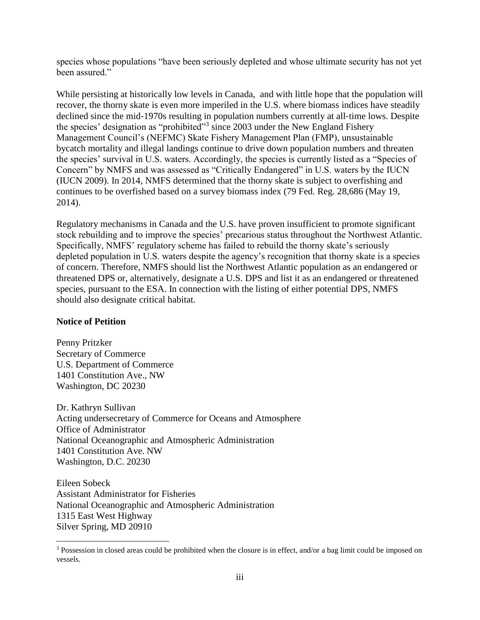species whose populations "have been seriously depleted and whose ultimate security has not yet been assured."

While persisting at historically low levels in Canada, and with little hope that the population will recover, the thorny skate is even more imperiled in the U.S. where biomass indices have steadily declined since the mid-1970s resulting in population numbers currently at all-time lows. Despite the species' designation as "prohibited"<sup>3</sup> since 2003 under the New England Fishery Management Council's (NEFMC) Skate Fishery Management Plan (FMP), unsustainable bycatch mortality and illegal landings continue to drive down population numbers and threaten the species' survival in U.S. waters. Accordingly, the species is currently listed as a "Species of Concern" by NMFS and was assessed as "Critically Endangered" in U.S. waters by the IUCN (IUCN 2009). In 2014, NMFS determined that the thorny skate is subject to overfishing and continues to be overfished based on a survey biomass index (79 Fed. Reg. 28,686 (May 19, 2014).

Regulatory mechanisms in Canada and the U.S. have proven insufficient to promote significant stock rebuilding and to improve the species' precarious status throughout the Northwest Atlantic. Specifically, NMFS' regulatory scheme has failed to rebuild the thorny skate's seriously depleted population in U.S. waters despite the agency's recognition that thorny skate is a species of concern. Therefore, NMFS should list the Northwest Atlantic population as an endangered or threatened DPS or, alternatively, designate a U.S. DPS and list it as an endangered or threatened species, pursuant to the ESA. In connection with the listing of either potential DPS, NMFS should also designate critical habitat.

#### **Notice of Petition**

 $\overline{a}$ 

Penny Pritzker Secretary of Commerce U.S. Department of Commerce 1401 Constitution Ave., NW Washington, DC 20230

Dr. Kathryn Sullivan Acting undersecretary of Commerce for Oceans and Atmosphere Office of Administrator National Oceanographic and Atmospheric Administration 1401 Constitution Ave. NW Washington, D.C. 20230

Eileen Sobeck Assistant Administrator for Fisheries National Oceanographic and Atmospheric Administration 1315 East West Highway Silver Spring, MD 20910

<sup>&</sup>lt;sup>3</sup> Possession in closed areas could be prohibited when the closure is in effect, and/or a bag limit could be imposed on vessels.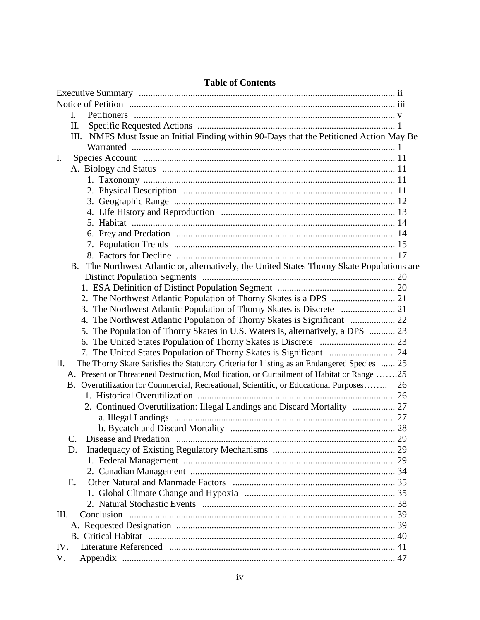| L.          |                                                                                            |    |
|-------------|--------------------------------------------------------------------------------------------|----|
| II.         |                                                                                            |    |
|             | NMFS Must Issue an Initial Finding within 90-Days that the Petitioned Action May Be<br>Ш.  |    |
|             |                                                                                            |    |
| I.          |                                                                                            |    |
|             |                                                                                            |    |
|             |                                                                                            |    |
|             |                                                                                            |    |
|             |                                                                                            |    |
|             |                                                                                            |    |
|             |                                                                                            |    |
|             |                                                                                            |    |
|             |                                                                                            |    |
|             |                                                                                            |    |
| B.          | The Northwest Atlantic or, alternatively, the United States Thorny Skate Populations are   |    |
|             |                                                                                            |    |
|             |                                                                                            |    |
|             |                                                                                            |    |
|             |                                                                                            |    |
|             | 4. The Northwest Atlantic Population of Thorny Skates is Significant  22                   |    |
|             | 5. The Population of Thorny Skates in U.S. Waters is, alternatively, a DPS  23             |    |
|             |                                                                                            |    |
|             |                                                                                            |    |
| II.         | The Thorny Skate Satisfies the Statutory Criteria for Listing as an Endangered Species  25 |    |
|             | A. Present or Threatened Destruction, Modification, or Curtailment of Habitat or Range 25  |    |
|             | B. Overutilization for Commercial, Recreational, Scientific, or Educational Purposes       | 26 |
|             |                                                                                            |    |
|             | 2. Continued Overutilization: Illegal Landings and Discard Mortality  27                   |    |
|             |                                                                                            |    |
|             |                                                                                            |    |
| $\mathbf C$ | Disease and Predation                                                                      | 29 |
| D.          |                                                                                            |    |
|             |                                                                                            |    |
|             |                                                                                            |    |
| E.          |                                                                                            |    |
|             |                                                                                            |    |
|             |                                                                                            |    |
| III.        |                                                                                            |    |
|             |                                                                                            |    |
|             |                                                                                            |    |
| IV.         |                                                                                            |    |
| V.          |                                                                                            |    |

## **Table of Contents**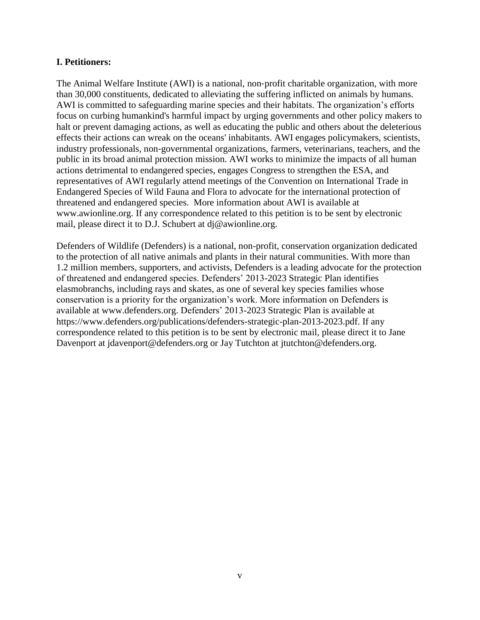#### **I. Petitioners:**

The Animal Welfare Institute (AWI) is a national, non-profit charitable organization, with more than 30,000 constituents, dedicated to alleviating the suffering inflicted on animals by humans. AWI is committed to safeguarding marine species and their habitats. The organization's efforts focus on curbing humankind's harmful impact by urging governments and other policy makers to halt or prevent damaging actions, as well as educating the public and others about the deleterious effects their actions can wreak on the oceans' inhabitants. AWI engages policymakers, scientists, industry professionals, non‐governmental organizations, farmers, veterinarians, teachers, and the public in its broad animal protection mission. AWI works to minimize the impacts of all human actions detrimental to endangered species, engages Congress to strengthen the ESA, and representatives of AWI regularly attend meetings of the Convention on International Trade in Endangered Species of Wild Fauna and Flora to advocate for the international protection of threatened and endangered species. More information about AWI is available at www.awionline.org. If any correspondence related to this petition is to be sent by electronic mail, please direct it to D.J. Schubert at [dj@awionline.org.](mailto:dj@awionline.org)

Defenders of Wildlife (Defenders) is a national, non-profit, conservation organization dedicated to the protection of all native animals and plants in their natural communities. With more than 1.2 million members, supporters, and activists, Defenders is a leading advocate for the protection of threatened and endangered species. Defenders' 2013-2023 Strategic Plan identifies elasmobranchs, including rays and skates, as one of several key species families whose conservation is a priority for the organization's work. More information on Defenders is available at www.defenders.org. Defenders' 2013-2023 Strategic Plan is available at https://www.defenders.org/publications/defenders-strategic-plan-2013-2023.pdf. If any correspondence related to this petition is to be sent by electronic mail, please direct it to Jane Davenport at jdavenport@defenders.org or Jay Tutchton at jtutchton@defenders.org.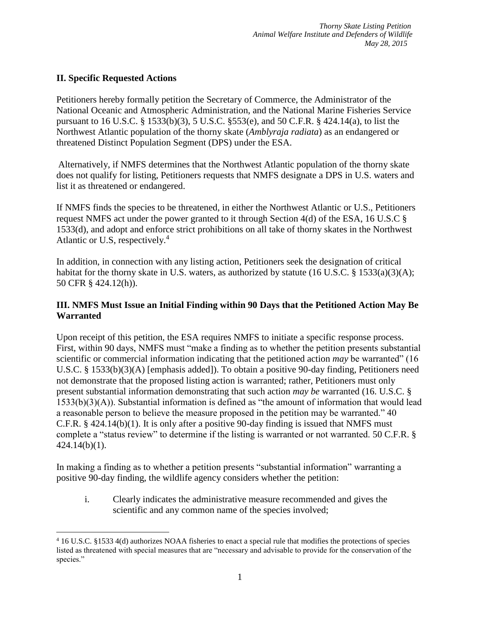# **II. Specific Requested Actions**

 $\overline{a}$ 

Petitioners hereby formally petition the Secretary of Commerce, the Administrator of the National Oceanic and Atmospheric Administration, and the National Marine Fisheries Service pursuant to 16 U.S.C. § 1533(b)(3), 5 U.S.C. §553(e), and 50 C.F.R. § 424.14(a), to list the Northwest Atlantic population of the thorny skate (*Amblyraja radiata*) as an endangered or threatened Distinct Population Segment (DPS) under the ESA.

Alternatively, if NMFS determines that the Northwest Atlantic population of the thorny skate does not qualify for listing, Petitioners requests that NMFS designate a DPS in U.S. waters and list it as threatened or endangered.

If NMFS finds the species to be threatened, in either the Northwest Atlantic or U.S., Petitioners request NMFS act under the power granted to it through Section 4(d) of the ESA, 16 U.S.C § 1533(d), and adopt and enforce strict prohibitions on all take of thorny skates in the Northwest Atlantic or U.S, respectively.<sup>4</sup>

In addition, in connection with any listing action, Petitioners seek the designation of critical habitat for the thorny skate in U.S. waters, as authorized by statute (16 U.S.C. § 1533(a)(3)(A); 50 CFR § 424.12(h)).

## **III. NMFS Must Issue an Initial Finding within 90 Days that the Petitioned Action May Be Warranted**

Upon receipt of this petition, the ESA requires NMFS to initiate a specific response process. First, within 90 days, NMFS must "make a finding as to whether the petition presents substantial scientific or commercial information indicating that the petitioned action *may* be warranted" (16 U.S.C. § 1533(b)(3)(A) [emphasis added]). To obtain a positive 90-day finding, Petitioners need not demonstrate that the proposed listing action is warranted; rather, Petitioners must only present substantial information demonstrating that such action *may be* warranted (16. U.S.C. § 1533(b)(3)(A)). Substantial information is defined as "the amount of information that would lead a reasonable person to believe the measure proposed in the petition may be warranted." 40 C.F.R. § 424.14(b)(1). It is only after a positive 90-day finding is issued that NMFS must complete a "status review" to determine if the listing is warranted or not warranted. 50 C.F.R. § 424.14(b)(1).

In making a finding as to whether a petition presents "substantial information" warranting a positive 90-day finding, the wildlife agency considers whether the petition:

i. Clearly indicates the administrative measure recommended and gives the scientific and any common name of the species involved;

<sup>4</sup> 16 U.S.C. §1533 4(d) authorizes NOAA fisheries to enact a special rule that modifies the protections of species listed as threatened with special measures that are "necessary and advisable to provide for the conservation of the species."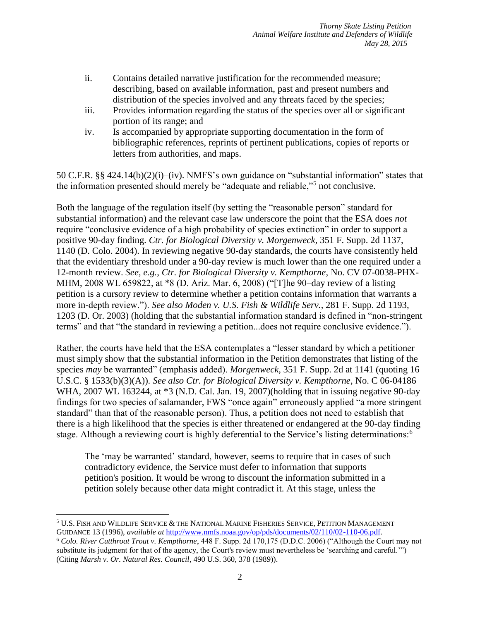- ii. Contains detailed narrative justification for the recommended measure; describing, based on available information, past and present numbers and distribution of the species involved and any threats faced by the species;
- iii. Provides information regarding the status of the species over all or significant portion of its range; and
- iv. Is accompanied by appropriate supporting documentation in the form of bibliographic references, reprints of pertinent publications, copies of reports or letters from authorities, and maps.

50 C.F.R. §§ 424.14(b)(2)(i)–(iv). NMFS's own guidance on "substantial information" states that the information presented should merely be "adequate and reliable,"<sup>5</sup> not conclusive.

Both the language of the regulation itself (by setting the "reasonable person" standard for substantial information) and the relevant case law underscore the point that the ESA does *not* require "conclusive evidence of a high probability of species extinction" in order to support a positive 90-day finding. *Ctr. for Biological Diversity v. Morgenweck*, 351 F. Supp. 2d 1137, 1140 (D. Colo. 2004). In reviewing negative 90-day standards, the courts have consistently held that the evidentiary threshold under a 90-day review is much lower than the one required under a 12-month review. *See, e.g.*, *Ctr. for Biological Diversity v. Kempthorne*, No. CV 07-0038-PHX-MHM, 2008 WL 659822, at \*8 (D. Ariz. Mar. 6, 2008) ("[T]he 90–day review of a listing petition is a cursory review to determine whether a petition contains information that warrants a more in-depth review."). *See also Moden v. U.S. Fish & Wildlife Serv.*, 281 F. Supp. 2d 1193, 1203 (D. Or. 2003) (holding that the substantial information standard is defined in "non-stringent terms" and that "the standard in reviewing a petition...does not require conclusive evidence.").

Rather, the courts have held that the ESA contemplates a "lesser standard by which a petitioner must simply show that the substantial information in the Petition demonstrates that listing of the species *may* be warranted" (emphasis added). *Morgenweck*, 351 F. Supp. 2d at 1141 (quoting 16 U.S.C. § 1533(b)(3)(A)). *See also Ctr. for Biological Diversity v. Kempthorne*, No. C 06-04186 WHA, 2007 WL 163244, at \*3 (N.D. Cal. Jan. 19, 2007)(holding that in issuing negative 90-day findings for two species of salamander, FWS "once again" erroneously applied "a more stringent standard" than that of the reasonable person). Thus, a petition does not need to establish that there is a high likelihood that the species is either threatened or endangered at the 90-day finding stage. Although a reviewing court is highly deferential to the Service's listing determinations:<sup>6</sup>

The 'may be warranted' standard, however, seems to require that in cases of such contradictory evidence, the Service must defer to information that supports petition's position. It would be wrong to discount the information submitted in a petition solely because other data might contradict it. At this stage, unless the

<sup>5</sup> U.S. FISH AND WILDLIFE SERVICE & THE NATIONAL MARINE FISHERIES SERVICE, PETITION MANAGEMENT GUIDANCE 13 (1996), *available at* [http://www.nmfs.noaa.gov/op/pds/documents/02/110/02-110-06.pdf.](http://www.nmfs.noaa.gov/op/pds/documents/02/110/02-110-06.pdf) <sup>6</sup> *Colo. River Cutthroat Trout v. Kempthorne*, 448 F. Supp. 2d 170,175 (D.D.C. 2006) ("Although the Court may not substitute its judgment for that of the agency, the Court's review must nevertheless be 'searching and careful.'") (Citing *Marsh v. Or. Natural Res. Council*, 490 U.S. 360, 378 (1989)).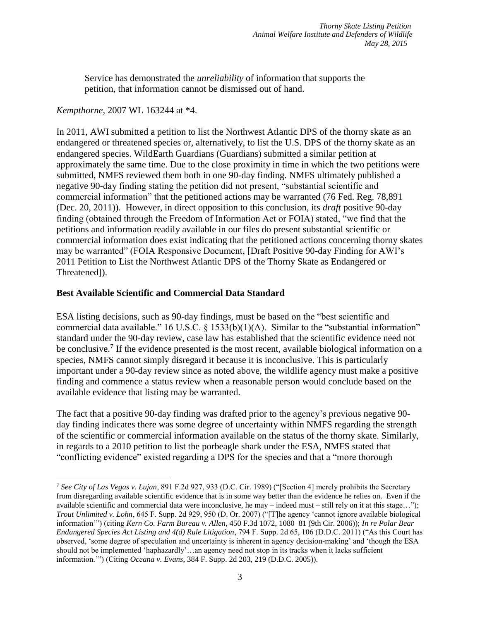Service has demonstrated the *unreliability* of information that supports the petition, that information cannot be dismissed out of hand.

*Kempthorne*, 2007 WL 163244 at \*4.

 $\overline{a}$ 

In 2011, AWI submitted a petition to list the Northwest Atlantic DPS of the thorny skate as an endangered or threatened species or, alternatively, to list the U.S. DPS of the thorny skate as an endangered species. WildEarth Guardians (Guardians) submitted a similar petition at approximately the same time. Due to the close proximity in time in which the two petitions were submitted, NMFS reviewed them both in one 90-day finding. NMFS ultimately published a negative 90-day finding stating the petition did not present, "substantial scientific and commercial information" that the petitioned actions may be warranted (76 Fed. Reg. 78,891 (Dec. 20, 2011)). However, in direct opposition to this conclusion, its *draft* positive 90-day finding (obtained through the Freedom of Information Act or FOIA) stated, "we find that the petitions and information readily available in our files do present substantial scientific or commercial information does exist indicating that the petitioned actions concerning thorny skates may be warranted" (FOIA Responsive Document, [Draft Positive 90-day Finding for AWI's 2011 Petition to List the Northwest Atlantic DPS of the Thorny Skate as Endangered or Threatened]).

### **Best Available Scientific and Commercial Data Standard**

ESA listing decisions, such as 90-day findings, must be based on the "best scientific and commercial data available." 16 U.S.C. § 1533(b)(1)(A). Similar to the "substantial information" standard under the 90-day review, case law has established that the scientific evidence need not be conclusive.<sup>7</sup> If the evidence presented is the most recent, available biological information on a species, NMFS cannot simply disregard it because it is inconclusive. This is particularly important under a 90-day review since as noted above, the wildlife agency must make a positive finding and commence a status review when a reasonable person would conclude based on the available evidence that listing may be warranted.

The fact that a positive 90-day finding was drafted prior to the agency's previous negative 90 day finding indicates there was some degree of uncertainty within NMFS regarding the strength of the scientific or commercial information available on the status of the thorny skate. Similarly, in regards to a 2010 petition to list the porbeagle shark under the ESA, NMFS stated that "conflicting evidence" existed regarding a DPS for the species and that a "more thorough

<sup>7</sup> *See City of Las Vegas v. Lujan*, 891 F.2d 927, 933 (D.C. Cir. 1989) ("[Section 4] merely prohibits the Secretary from disregarding available scientific evidence that is in some way better than the evidence he relies on. Even if the available scientific and commercial data were inconclusive, he may – indeed must – still rely on it at this stage…"); *Trout Unlimited v. Lohn*, 645 F. Supp. 2d 929, 950 (D. Or. 2007) ("[T]he agency 'cannot ignore available biological information'") (citing *Kern Co. Farm Bureau v. Allen*, 450 F.3d 1072, 1080–81 (9th Cir. 2006)); *In re Polar Bear Endangered Species Act Listing and 4(d) Rule Litigation*, 794 F. Supp. 2d 65, 106 (D.D.C. 2011) ("As this Court has observed, 'some degree of speculation and uncertainty is inherent in agency decision-making' and 'though the ESA should not be implemented 'haphazardly'…an agency need not stop in its tracks when it lacks sufficient information.'") (Citing *Oceana v. Evans*, 384 F. Supp. 2d 203, 219 (D.D.C. 2005)).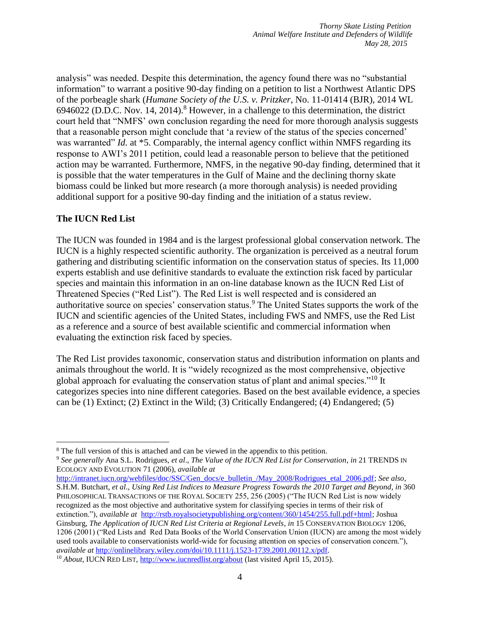analysis" was needed. Despite this determination, the agency found there was no "substantial information" to warrant a positive 90-day finding on a petition to list a Northwest Atlantic DPS of the porbeagle shark (*Humane Society of the U.S. v. Pritzker*, No. 11-01414 (BJR), 2014 WL 6946022 (D.D.C. Nov. 14, 2014).<sup>8</sup> However, in a challenge to this determination, the district court held that "NMFS' own conclusion regarding the need for more thorough analysis suggests that a reasonable person might conclude that 'a review of the status of the species concerned' was warranted" *Id.* at \*5. Comparably, the internal agency conflict within NMFS regarding its response to AWI's 2011 petition, could lead a reasonable person to believe that the petitioned action may be warranted. Furthermore, NMFS, in the negative 90-day finding, determined that it is possible that the water temperatures in the Gulf of Maine and the declining thorny skate biomass could be linked but more research (a more thorough analysis) is needed providing additional support for a positive 90-day finding and the initiation of a status review.

### **The IUCN Red List**

 $\overline{a}$ 

The IUCN was founded in 1984 and is the largest professional global conservation network. The IUCN is a highly respected scientific authority. The organization is perceived as a neutral forum gathering and distributing scientific information on the conservation status of species. Its 11,000 experts establish and use definitive standards to evaluate the extinction risk faced by particular species and maintain this information in an on-line database known as the IUCN Red List of Threatened Species ("Red List"). The Red List is well respected and is considered an authoritative source on species' conservation status.<sup>9</sup> The United States supports the work of the IUCN and scientific agencies of the United States, including FWS and NMFS, use the Red List as a reference and a source of best available scientific and commercial information when evaluating the extinction risk faced by species.

The Red List provides taxonomic, conservation status and distribution information on plants and animals throughout the world. It is "widely recognized as the most comprehensive, objective global approach for evaluating the conservation status of plant and animal species."<sup>10</sup> It categorizes species into nine different categories. Based on the best available evidence, a species can be (1) Extinct; (2) Extinct in the Wild; (3) Critically Endangered; (4) Endangered; (5)

[http://intranet.iucn.org/webfiles/doc/SSC/Gen\\_docs/e\\_bulletin\\_/May\\_2008/Rodrigues\\_etal\\_2006.pdf;](http://intranet.iucn.org/webfiles/doc/SSC/Gen_docs/e_bulletin_/May_2008/Rodrigues_etal_2006.pdf) *See also*, S.H.M. Butchart, *et al*., *Using Red List Indices to Measure Progress Towards the 2010 Target and Beyond*, *in* 360 PHILOSOPHICAL TRANSACTIONS OF THE ROYAL SOCIETY 255, 256 (2005) ("The IUCN Red List is now widely recognized as the most objective and authoritative system for classifying species in terms of their risk of extinction."), *available at* [http://rstb.royalsocietypublishing.org/content/360/1454/255.full.pdf+html;](http://rstb.royalsocietypublishing.org/content/360/1454/255.full.pdf+html) Joshua Ginsburg, *The Application of IUCN Red List Criteria at Regional Levels*, *in* 15 CONSERVATION BIOLOGY 1206, 1206 (2001) ("Red Lists and Red Data Books of the World Conservation Union (IUCN) are among the most widely used tools available to conservationists world-wide for focusing attention on species of conservation concern."), *available at* [http://onlinelibrary.wiley.com/doi/10.1111/j.1523-1739.2001.00112.x/pdf.](http://onlinelibrary.wiley.com/doi/10.1111/j.1523-1739.2001.00112.x/pdf)

<sup>&</sup>lt;sup>8</sup> The full version of this is attached and can be viewed in the appendix to this petition.

<sup>9</sup> *See generally* Ana S.L. Rodrigues, *et al*., *The Value of the IUCN Red List for Conservation*, *in* 21 TRENDS IN ECOLOGY AND EVOLUTION 71 (2006), *available at* 

<sup>10</sup> *About*, IUCN RED LIST,<http://www.iucnredlist.org/about> (last visited April 15, 2015).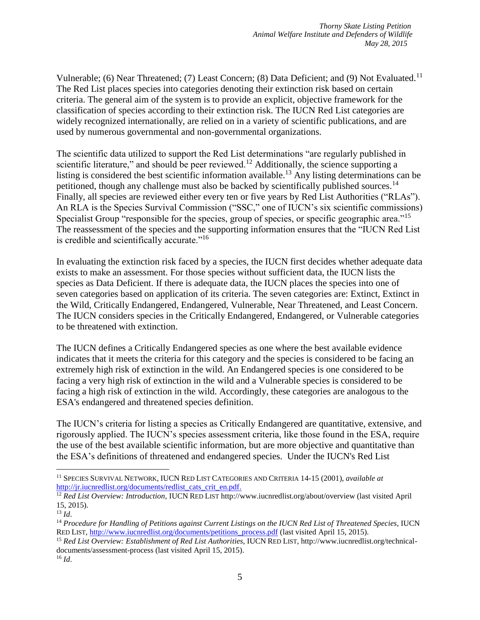Vulnerable; (6) Near Threatened; (7) Least Concern; (8) Data Deficient; and (9) Not Evaluated.<sup>11</sup> The Red List places species into categories denoting their extinction risk based on certain criteria. The general aim of the system is to provide an explicit, objective framework for the classification of species according to their extinction risk. The IUCN Red List categories are widely recognized internationally, are relied on in a variety of scientific publications, and are used by numerous governmental and non-governmental organizations.

The scientific data utilized to support the Red List determinations "are regularly published in scientific literature," and should be peer reviewed.<sup>12</sup> Additionally, the science supporting a listing is considered the best scientific information available.<sup>13</sup> Any listing determinations can be petitioned, though any challenge must also be backed by scientifically published sources.<sup>14</sup> Finally, all species are reviewed either every ten or five years by Red List Authorities ("RLAs"). An RLA is the Species Survival Commission ("SSC," one of IUCN's six scientific commissions) Specialist Group "responsible for the species, group of species, or specific geographic area."<sup>15</sup> The reassessment of the species and the supporting information ensures that the "IUCN Red List is credible and scientifically accurate."<sup>16</sup>

In evaluating the extinction risk faced by a species, the IUCN first decides whether adequate data exists to make an assessment. For those species without sufficient data, the IUCN lists the species as Data Deficient. If there is adequate data, the IUCN places the species into one of seven categories based on application of its criteria. The seven categories are: Extinct, Extinct in the Wild, Critically Endangered, Endangered, Vulnerable, Near Threatened, and Least Concern. The IUCN considers species in the Critically Endangered, Endangered, or Vulnerable categories to be threatened with extinction.

The IUCN defines a Critically Endangered species as one where the best available evidence indicates that it meets the criteria for this category and the species is considered to be facing an extremely high risk of extinction in the wild. An Endangered species is one considered to be facing a very high risk of extinction in the wild and a Vulnerable species is considered to be facing a high risk of extinction in the wild. Accordingly, these categories are analogous to the ESA's endangered and threatened species definition.

The IUCN's criteria for listing a species as Critically Endangered are quantitative, extensive, and rigorously applied. The IUCN's species assessment criteria, like those found in the ESA, require the use of the best available scientific information, but are more objective and quantitative than the ESA's definitions of threatened and endangered species. Under the IUCN's Red List

<sup>11</sup> SPECIES SURVIVAL NETWORK, IUCN RED LIST CATEGORIES AND CRITERIA 14-15 (2001), *available at* [http://jr.iucnredlist.org/documents/redlist\\_cats\\_crit\\_en.pdf.](http://jr.iucnredlist.org/documents/redlist_cats_crit_en.pdf)

<sup>12</sup> *Red List Overview: Introduction*, IUCN RED LIST http://www.iucnredlist.org/about/overview (last visited April 15, 2015).

<sup>13</sup> *Id*.

<sup>14</sup> *Procedure for Handling of Petitions against Current Listings on the IUCN Red List of Threatened Species*, IUCN RED LIST, [http://www.iucnredlist.org/documents/petitions\\_process.pdf](http://www.iucnredlist.org/documents/petitions_process.pdf) (last visited April 15, 2015).

<sup>15</sup> *Red List Overview: Establishment of Red List Authorities*, IUCN RED LIST, http://www.iucnredlist.org/technicaldocuments/assessment-process (last visited April 15, 2015).  $^{16}$  *Id.*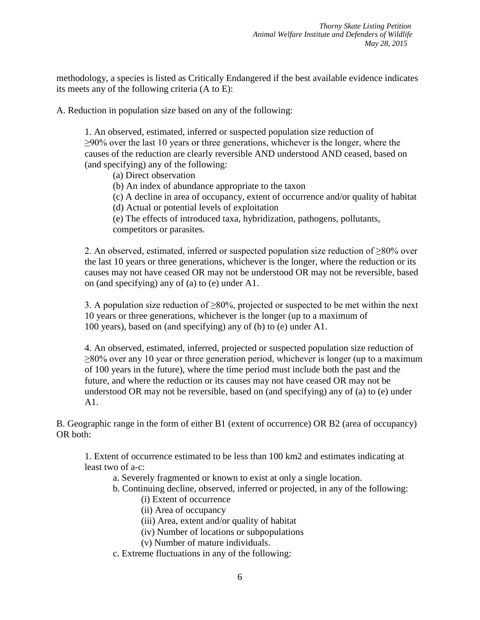methodology, a species is listed as Critically Endangered if the best available evidence indicates its meets any of the following criteria (A to E):

A. Reduction in population size based on any of the following:

1. An observed, estimated, inferred or suspected population size reduction of ≥90% over the last 10 years or three generations, whichever is the longer, where the causes of the reduction are clearly reversible AND understood AND ceased, based on (and specifying) any of the following:

(a) Direct observation

(b) An index of abundance appropriate to the taxon

(c) A decline in area of occupancy, extent of occurrence and/or quality of habitat

(d) Actual or potential levels of exploitation

(e) The effects of introduced taxa, hybridization, pathogens, pollutants, competitors or parasites.

2. An observed, estimated, inferred or suspected population size reduction of  $\geq 80\%$  over the last 10 years or three generations, whichever is the longer, where the reduction or its causes may not have ceased OR may not be understood OR may not be reversible, based on (and specifying) any of (a) to (e) under A1.

3. A population size reduction of  $\geq 80\%$ , projected or suspected to be met within the next 10 years or three generations, whichever is the longer (up to a maximum of 100 years), based on (and specifying) any of (b) to (e) under A1.

4. An observed, estimated, inferred, projected or suspected population size reduction of ≥80% over any 10 year or three generation period, whichever is longer (up to a maximum of 100 years in the future), where the time period must include both the past and the future, and where the reduction or its causes may not have ceased OR may not be understood OR may not be reversible, based on (and specifying) any of (a) to (e) under A1.

B. Geographic range in the form of either B1 (extent of occurrence) OR B2 (area of occupancy) OR both:

1. Extent of occurrence estimated to be less than 100 km2 and estimates indicating at least two of a-c:

a. Severely fragmented or known to exist at only a single location.

b. Continuing decline, observed, inferred or projected, in any of the following:

- (i) Extent of occurrence
- (ii) Area of occupancy
- (iii) Area, extent and/or quality of habitat
- (iv) Number of locations or subpopulations
- (v) Number of mature individuals.
- c. Extreme fluctuations in any of the following: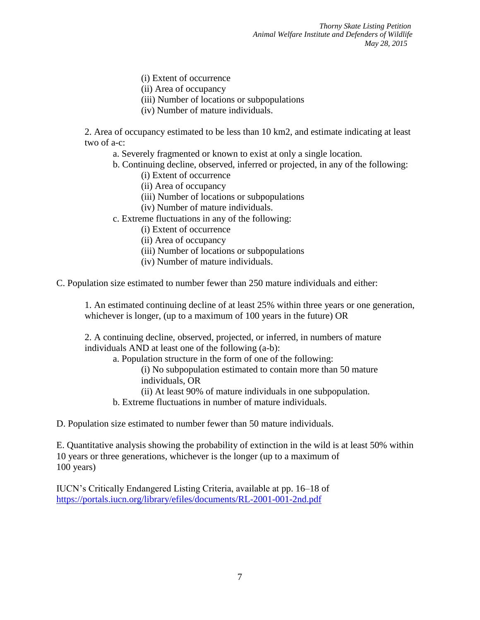*Thorny Skate Listing Petition Animal Welfare Institute and Defenders of Wildlife May 28, 2015*

- (i) Extent of occurrence
- (ii) Area of occupancy
- (iii) Number of locations or subpopulations
- (iv) Number of mature individuals.

2. Area of occupancy estimated to be less than 10 km2, and estimate indicating at least two of a-c:

- a. Severely fragmented or known to exist at only a single location.
- b. Continuing decline, observed, inferred or projected, in any of the following:
	- (i) Extent of occurrence
	- (ii) Area of occupancy
	- (iii) Number of locations or subpopulations
	- (iv) Number of mature individuals.
- c. Extreme fluctuations in any of the following:
	- (i) Extent of occurrence
	- (ii) Area of occupancy
	- (iii) Number of locations or subpopulations
	- (iv) Number of mature individuals.

C. Population size estimated to number fewer than 250 mature individuals and either:

1. An estimated continuing decline of at least 25% within three years or one generation, whichever is longer, (up to a maximum of 100 years in the future) OR

2. A continuing decline, observed, projected, or inferred, in numbers of mature individuals AND at least one of the following (a-b):

a. Population structure in the form of one of the following: (i) No subpopulation estimated to contain more than 50 mature individuals, OR

(ii) At least 90% of mature individuals in one subpopulation.

b. Extreme fluctuations in number of mature individuals.

D. Population size estimated to number fewer than 50 mature individuals.

E. Quantitative analysis showing the probability of extinction in the wild is at least 50% within 10 years or three generations, whichever is the longer (up to a maximum of 100 years)

IUCN's Critically Endangered Listing Criteria, available at pp. 16–18 of <https://portals.iucn.org/library/efiles/documents/RL-2001-001-2nd.pdf>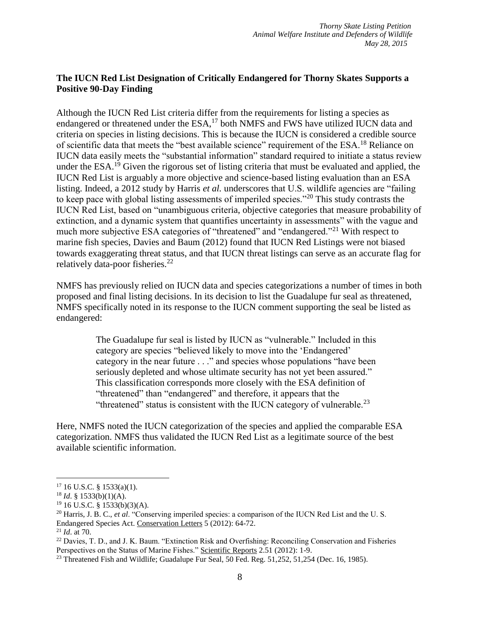## **The IUCN Red List Designation of Critically Endangered for Thorny Skates Supports a Positive 90-Day Finding**

Although the IUCN Red List criteria differ from the requirements for listing a species as endangered or threatened under the ESA,<sup>17</sup> both NMFS and FWS have utilized IUCN data and criteria on species in listing decisions. This is because the IUCN is considered a credible source of scientific data that meets the "best available science" requirement of the ESA.<sup>18</sup> Reliance on IUCN data easily meets the "substantial information" standard required to initiate a status review under the ESA.<sup>19</sup> Given the rigorous set of listing criteria that must be evaluated and applied, the IUCN Red List is arguably a more objective and science-based listing evaluation than an ESA listing. Indeed, a 2012 study by Harris *et al.* underscores that U.S. wildlife agencies are "failing" to keep pace with global listing assessments of imperiled species."<sup>20</sup> This study contrasts the IUCN Red List, based on "unambiguous criteria, objective categories that measure probability of extinction, and a dynamic system that quantifies uncertainty in assessments" with the vague and much more subjective ESA categories of "threatened" and "endangered."<sup>21</sup> With respect to marine fish species, Davies and Baum (2012) found that IUCN Red Listings were not biased towards exaggerating threat status, and that IUCN threat listings can serve as an accurate flag for relatively data-poor fisheries.<sup>22</sup>

NMFS has previously relied on IUCN data and species categorizations a number of times in both proposed and final listing decisions. In its decision to list the Guadalupe fur seal as threatened, NMFS specifically noted in its response to the IUCN comment supporting the seal be listed as endangered:

> The Guadalupe fur seal is listed by IUCN as "vulnerable." Included in this category are species "believed likely to move into the 'Endangered' category in the near future . . ." and species whose populations "have been seriously depleted and whose ultimate security has not yet been assured." This classification corresponds more closely with the ESA definition of "threatened" than "endangered" and therefore, it appears that the "threatened" status is consistent with the IUCN category of vulnerable. $^{23}$

Here, NMFS noted the IUCN categorization of the species and applied the comparable ESA categorization. NMFS thus validated the IUCN Red List as a legitimate source of the best available scientific information.

 $17$  16 U.S.C. § 1533(a)(1).

 $18$  *Id.* § 1533(b)(1)(A).

 $19$  16 U.S.C. § 1533(b)(3)(A).

<sup>20</sup> Harris, J. B. C., *et al*. "Conserving imperiled species: a comparison of the IUCN Red List and the U. S. Endangered Species Act. Conservation Letters 5 (2012): 64-72.

<sup>21</sup> *Id*. at 70.

<sup>&</sup>lt;sup>22</sup> Davies, T. D., and J. K. Baum. "Extinction Risk and Overfishing: Reconciling Conservation and Fisheries Perspectives on the Status of Marine Fishes." Scientific Reports 2.51 (2012): 1-9.

<sup>&</sup>lt;sup>23</sup> Threatened Fish and Wildlife; Guadalupe Fur Seal, 50 Fed. Reg. 51,252, 51,254 (Dec. 16, 1985).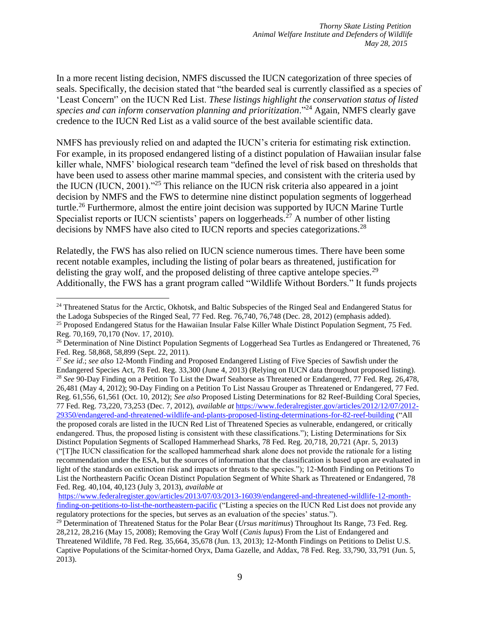In a more recent listing decision, NMFS discussed the IUCN categorization of three species of seals. Specifically, the decision stated that "the bearded seal is currently classified as a species of 'Least Concern'' on the IUCN Red List. *These listings highlight the conservation status of listed species and can inform conservation planning and prioritization*."<sup>24</sup> Again, NMFS clearly gave credence to the IUCN Red List as a valid source of the best available scientific data.

NMFS has previously relied on and adapted the IUCN's criteria for estimating risk extinction. For example, in its proposed endangered listing of a distinct population of Hawaiian insular false killer whale, NMFS' biological research team "defined the level of risk based on thresholds that have been used to assess other marine mammal species, and consistent with the criteria used by the IUCN (IUCN, 2001)."<sup>25</sup> This reliance on the IUCN risk criteria also appeared in a joint decision by NMFS and the FWS to determine nine distinct population segments of loggerhead turtle.<sup>26</sup> Furthermore, almost the entire joint decision was supported by IUCN Marine Turtle Specialist reports or IUCN scientists' papers on loggerheads.<sup>27</sup> A number of other listing decisions by NMFS have also cited to IUCN reports and species categorizations.<sup>28</sup>

Relatedly, the FWS has also relied on IUCN science numerous times. There have been some recent notable examples, including the listing of polar bears as threatened, justification for delisting the gray wolf, and the proposed delisting of three captive antelope species.<sup>29</sup> Additionally, the FWS has a grant program called "Wildlife Without Borders." It funds projects

<sup>&</sup>lt;sup>24</sup> Threatened Status for the Arctic, Okhotsk, and Baltic Subspecies of the Ringed Seal and Endangered Status for the Ladoga Subspecies of the Ringed Seal, 77 Fed. Reg. 76,740, 76,748 (Dec. 28, 2012) (emphasis added). <sup>25</sup> Proposed Endangered Status for the Hawaiian Insular False Killer Whale Distinct Population Segment, 75 Fed. Reg. 70,169, 70,170 (Nov. 17, 2010).

<sup>&</sup>lt;sup>26</sup> Determination of Nine Distinct Population Segments of Loggerhead Sea Turtles as Endangered or Threatened, 76 Fed. Reg. 58,868, 58,899 (Sept. 22, 2011).

<sup>27</sup> *See id*.; *see also* 12-Month Finding and Proposed Endangered Listing of Five Species of Sawfish under the Endangered Species Act, 78 Fed. Reg. 33,300 (June 4, 2013) (Relying on IUCN data throughout proposed listing). <sup>28</sup> *See* 90-Day Finding on a Petition To List the Dwarf Seahorse as Threatened or Endangered, 77 Fed. Reg. 26,478, 26,481 (May 4, 2012); 90-Day Finding on a Petition To List Nassau Grouper as Threatened or Endangered, 77 Fed. Reg. 61,556, 61,561 (Oct. 10, 2012); *See also* Proposed Listing Determinations for 82 Reef-Building Coral Species, 77 Fed. Reg. 73,220, 73,253 (Dec. 7, 2012), *available at* [https://www.federalregister.gov/articles/2012/12/07/2012-](https://www.federalregister.gov/articles/2012/12/07/2012-29350/endangered-and-threatened-wildlife-and-plants-proposed-listing-determinations-for-82-reef-building) [29350/endangered-and-threatened-wildlife-and-plants-proposed-listing-determinations-for-82-reef-building](https://www.federalregister.gov/articles/2012/12/07/2012-29350/endangered-and-threatened-wildlife-and-plants-proposed-listing-determinations-for-82-reef-building) ("All the proposed corals are listed in the IUCN Red List of Threatened Species as vulnerable, endangered, or critically endangered. Thus, the proposed listing is consistent with these classifications."); Listing Determinations for Six Distinct Population Segments of Scalloped Hammerhead Sharks, 78 Fed. Reg. 20,718, 20,721 (Apr. 5, 2013) ("[T]he IUCN classification for the scalloped hammerhead shark alone does not provide the rationale for a listing recommendation under the ESA, but the sources of information that the classification is based upon are evaluated in light of the standards on extinction risk and impacts or threats to the species."); 12-Month Finding on Petitions To List the Northeastern Pacific Ocean Distinct Population Segment of White Shark as Threatened or Endangered, 78 Fed. Reg. 40,104, 40,123 (July 3, 2013), *available at*

[https://www.federalregister.gov/articles/2013/07/03/2013-16039/endangered-and-threatened-wildlife-12-month](https://www.federalregister.gov/articles/2013/07/03/2013-16039/endangered-and-threatened-wildlife-12-month-finding-on-petitions-to-list-the-northeastern-pacific)[finding-on-petitions-to-list-the-northeastern-pacific](https://www.federalregister.gov/articles/2013/07/03/2013-16039/endangered-and-threatened-wildlife-12-month-finding-on-petitions-to-list-the-northeastern-pacific) ("Listing a species on the IUCN Red List does not provide any regulatory protections for the species, but serves as an evaluation of the species' status.").

<sup>29</sup> Determination of Threatened Status for the Polar Bear (*Ursus maritimus*) Throughout Its Range, 73 Fed. Reg. 28,212, 28,216 (May 15, 2008); Removing the Gray Wolf (*Canis lupus*) From the List of Endangered and Threatened Wildlife, 78 Fed. Reg. 35,664, 35,678 (Jun. 13, 2013); 12-Month Findings on Petitions to Delist U.S. Captive Populations of the Scimitar-horned Oryx, Dama Gazelle, and Addax, 78 Fed. Reg. 33,790, 33,791 (Jun. 5, 2013).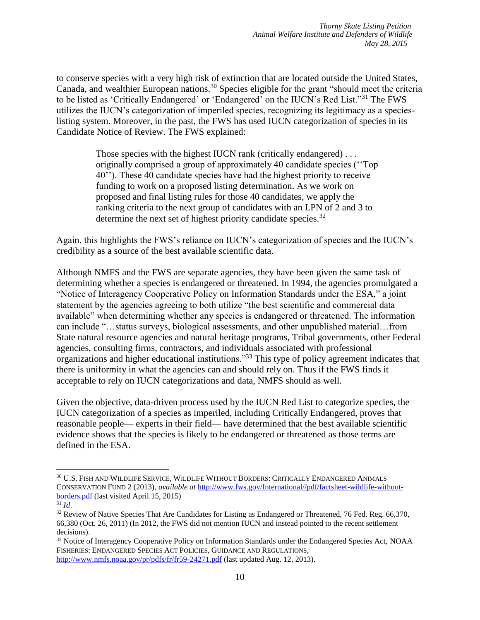to conserve species with a very high risk of extinction that are located outside the United States, Canada, and wealthier European nations.<sup>30</sup> Species eligible for the grant "should meet the criteria" to be listed as 'Critically Endangered' or 'Endangered' on the IUCN's Red List."<sup>31</sup> The FWS utilizes the IUCN's categorization of imperiled species, recognizing its legitimacy as a specieslisting system. Moreover, in the past, the FWS has used IUCN categorization of species in its Candidate Notice of Review. The FWS explained:

> Those species with the highest IUCN rank (critically endangered)... originally comprised a group of approximately 40 candidate species (''Top 40''). These 40 candidate species have had the highest priority to receive funding to work on a proposed listing determination. As we work on proposed and final listing rules for those 40 candidates, we apply the ranking criteria to the next group of candidates with an LPN of 2 and 3 to determine the next set of highest priority candidate species.<sup>32</sup>

Again, this highlights the FWS's reliance on IUCN's categorization of species and the IUCN's credibility as a source of the best available scientific data.

Although NMFS and the FWS are separate agencies, they have been given the same task of determining whether a species is endangered or threatened. In 1994, the agencies promulgated a "Notice of Interagency Cooperative Policy on Information Standards under the ESA," a joint statement by the agencies agreeing to both utilize "the best scientific and commercial data available" when determining whether any species is endangered or threatened. The information can include "…status surveys, biological assessments, and other unpublished material…from State natural resource agencies and natural heritage programs, Tribal governments, other Federal agencies, consulting firms, contractors, and individuals associated with professional organizations and higher educational institutions."<sup>33</sup> This type of policy agreement indicates that there is uniformity in what the agencies can and should rely on. Thus if the FWS finds it acceptable to rely on IUCN categorizations and data, NMFS should as well.

Given the objective, data-driven process used by the IUCN Red List to categorize species, the IUCN categorization of a species as imperiled, including Critically Endangered, proves that reasonable people— experts in their field— have determined that the best available scientific evidence shows that the species is likely to be endangered or threatened as those terms are defined in the ESA.

<sup>30</sup> U.S. FISH AND WILDLIFE SERVICE, WILDLIFE WITHOUT BORDERS: CRITICALLY ENDANGERED ANIMALS CONSERVATION FUND 2 (2013), *available at* [http://www.fws.gov/International//pdf/factsheet-wildlife-without](http://www.fws.gov/International/pdf/factsheet-wildlife-without-borders.pdf)[borders.pdf](http://www.fws.gov/International/pdf/factsheet-wildlife-without-borders.pdf) (last visited April 15, 2015)

 $31$  *Id.* 

<sup>&</sup>lt;sup>32</sup> Review of Native Species That Are Candidates for Listing as Endangered or Threatened, 76 Fed. Reg. 66,370, 66,380 (Oct. 26, 2011) (In 2012, the FWS did not mention IUCN and instead pointed to the recent settlement decisions).

<sup>&</sup>lt;sup>33</sup> Notice of Interagency Cooperative Policy on Information Standards under the Endangered Species Act, NOAA FISHERIES: ENDANGERED SPECIES ACT POLICIES, GUIDANCE AND REGULATIONS,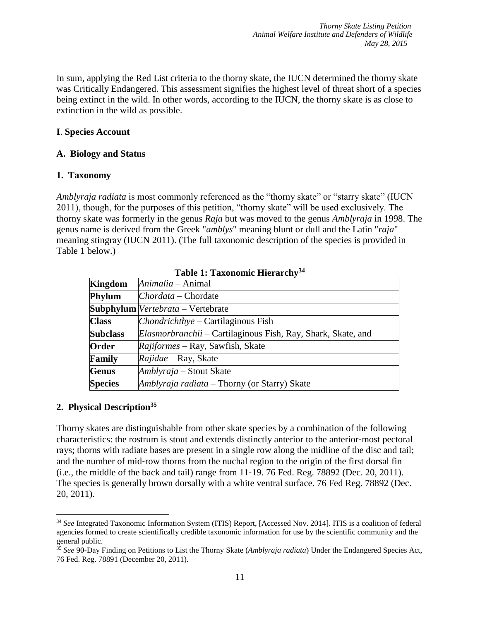In sum, applying the Red List criteria to the thorny skate, the IUCN determined the thorny skate was Critically Endangered. This assessment signifies the highest level of threat short of a species being extinct in the wild. In other words, according to the IUCN, the thorny skate is as close to extinction in the wild as possible.

### **I**. **Species Account**

#### **A. Biology and Status**

### **1. Taxonomy**

*Amblyraja radiata* is most commonly referenced as the "thorny skate" or "starry skate" (IUCN 2011), though, for the purposes of this petition, "thorny skate" will be used exclusively. The thorny skate was formerly in the genus *Raja* but was moved to the genus *Amblyraja* in 1998. The genus name is derived from the Greek "*amblys*" meaning blunt or dull and the Latin "*raja*" meaning stingray (IUCN 2011). (The full taxonomic description of the species is provided in Table 1 below.)

| <b>Kingdom</b>  | Animalia – Animal                                                   |
|-----------------|---------------------------------------------------------------------|
| Phylum          | $Chordata$ – Chordate                                               |
|                 | <b>Subphylum</b> <i>Vertebrata</i> – Vertebrate                     |
| <b>Class</b>    | $Chondrich thye - Cartil aginous Fish$                              |
| <b>Subclass</b> | <i>Elasmorbranchii</i> – Cartilaginous Fish, Ray, Shark, Skate, and |
| Order           | <i>Rajiformes</i> – Ray, Sawfish, Skate                             |
| Family          | <i>Rajidae</i> – Ray, Skate                                         |
| <b>Genus</b>    | Amblyraja – Stout Skate                                             |
| <b>Species</b>  | Amblyraja radiata – Thorny (or Starry) Skate                        |

**Table 1: Taxonomic Hierarchy<sup>34</sup>**

### **2. Physical Description<sup>35</sup>**

 $\overline{a}$ 

Thorny skates are distinguishable from other skate species by a combination of the following characteristics: the rostrum is stout and extends distinctly anterior to the anterior‐most pectoral rays; thorns with radiate bases are present in a single row along the midline of the disc and tail; and the number of mid‐row thorns from the nuchal region to the origin of the first dorsal fin (i.e., the middle of the back and tail) range from 11‐19. 76 Fed. Reg. 78892 (Dec. 20, 2011). The species is generally brown dorsally with a white ventral surface. 76 Fed Reg. 78892 (Dec. 20, 2011).

<sup>34</sup> *See* Integrated Taxonomic Information System (ITIS) Report, [Accessed Nov. 2014]. ITIS is a coalition of federal agencies formed to create scientifically credible taxonomic information for use by the scientific community and the general public.

<sup>35</sup> *See* 90-Day Finding on Petitions to List the Thorny Skate (*Amblyraja radiata*) Under the Endangered Species Act, 76 Fed. Reg. 78891 (December 20, 2011).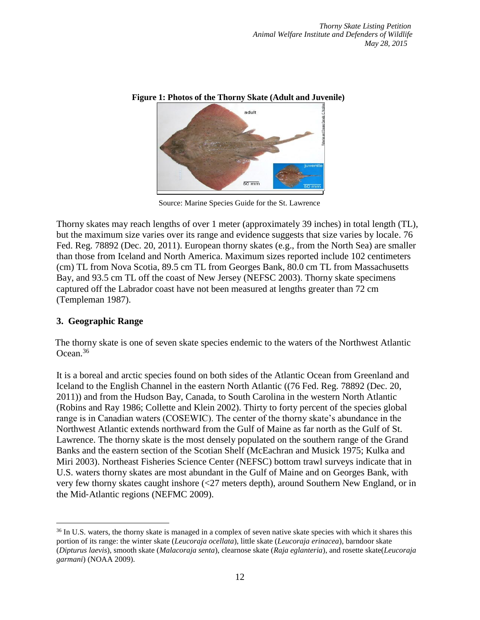

**Figure 1: Photos of the Thorny Skate (Adult and Juvenile)**

Source: Marine Species Guide for the St. Lawrence

Thorny skates may reach lengths of over 1 meter (approximately 39 inches) in total length (TL), but the maximum size varies over its range and evidence suggests that size varies by locale. 76 Fed. Reg. 78892 (Dec. 20, 2011). European thorny skates (e.g., from the North Sea) are smaller than those from Iceland and North America. Maximum sizes reported include 102 centimeters (cm) TL from Nova Scotia, 89.5 cm TL from Georges Bank, 80.0 cm TL from Massachusetts Bay, and 93.5 cm TL off the coast of New Jersey (NEFSC 2003). Thorny skate specimens captured off the Labrador coast have not been measured at lengths greater than 72 cm (Templeman 1987).

### **3. Geographic Range**

 $\overline{a}$ 

The thorny skate is one of seven skate species endemic to the waters of the Northwest Atlantic Ocean.<sup>36</sup>

It is a boreal and arctic species found on both sides of the Atlantic Ocean from Greenland and Iceland to the English Channel in the eastern North Atlantic ((76 Fed. Reg. 78892 (Dec. 20, 2011)) and from the Hudson Bay, Canada, to South Carolina in the western North Atlantic (Robins and Ray 1986; Collette and Klein 2002). Thirty to forty percent of the species global range is in Canadian waters (COSEWIC). The center of the thorny skate's abundance in the Northwest Atlantic extends northward from the Gulf of Maine as far north as the Gulf of St. Lawrence. The thorny skate is the most densely populated on the southern range of the Grand Banks and the eastern section of the Scotian Shelf (McEachran and Musick 1975; Kulka and Miri 2003). Northeast Fisheries Science Center (NEFSC) bottom trawl surveys indicate that in U.S. waters thorny skates are most abundant in the Gulf of Maine and on Georges Bank, with very few thorny skates caught inshore (<27 meters depth), around Southern New England, or in the Mid‐Atlantic regions (NEFMC 2009).

<sup>&</sup>lt;sup>36</sup> In U.S. waters, the thorny skate is managed in a complex of seven native skate species with which it shares this portion of its range: the winter skate (*Leucoraja ocellata*), little skate (*Leucoraja erinacea*), barndoor skate (*Dipturus laevis*), smooth skate (*Malacoraja senta*), clearnose skate (*Raja eglanteria*), and rosette skate(*Leucoraja garmani*) (NOAA 2009).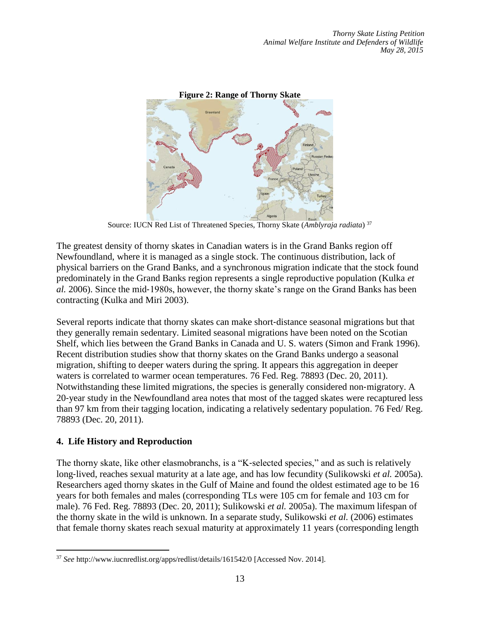

Source: IUCN Red List of Threatened Species, Thorny Skate (*Amblyraja radiata*) <sup>37</sup>

The greatest density of thorny skates in Canadian waters is in the Grand Banks region off Newfoundland, where it is managed as a single stock. The continuous distribution, lack of physical barriers on the Grand Banks, and a synchronous migration indicate that the stock found predominately in the Grand Banks region represents a single reproductive population (Kulka *et al.* 2006). Since the mid‐1980s, however, the thorny skate's range on the Grand Banks has been contracting (Kulka and Miri 2003).

Several reports indicate that thorny skates can make short‐distance seasonal migrations but that they generally remain sedentary. Limited seasonal migrations have been noted on the Scotian Shelf, which lies between the Grand Banks in Canada and U. S. waters (Simon and Frank 1996). Recent distribution studies show that thorny skates on the Grand Banks undergo a seasonal migration, shifting to deeper waters during the spring. It appears this aggregation in deeper waters is correlated to warmer ocean temperatures. 76 Fed. Reg. 78893 (Dec. 20, 2011). Notwithstanding these limited migrations, the species is generally considered non‐migratory. A 20‐year study in the Newfoundland area notes that most of the tagged skates were recaptured less than 97 km from their tagging location, indicating a relatively sedentary population. 76 Fed/ Reg. 78893 (Dec. 20, 2011).

### **4. Life History and Reproduction**

The thorny skate, like other elasmobranchs, is a "K‐selected species," and as such is relatively long‐lived, reaches sexual maturity at a late age, and has low fecundity (Sulikowski *et al.* 2005a). Researchers aged thorny skates in the Gulf of Maine and found the oldest estimated age to be 16 years for both females and males (corresponding TLs were 105 cm for female and 103 cm for male). 76 Fed. Reg. 78893 (Dec. 20, 2011); Sulikowski *et al.* 2005a). The maximum lifespan of the thorny skate in the wild is unknown. In a separate study, Sulikowski *et al.* (2006) estimates that female thorny skates reach sexual maturity at approximately 11 years (corresponding length

 $\overline{a}$ <sup>37</sup> *See* <http://www.iucnredlist.org/apps/redlist/details/161542/0> [Accessed Nov. 2014].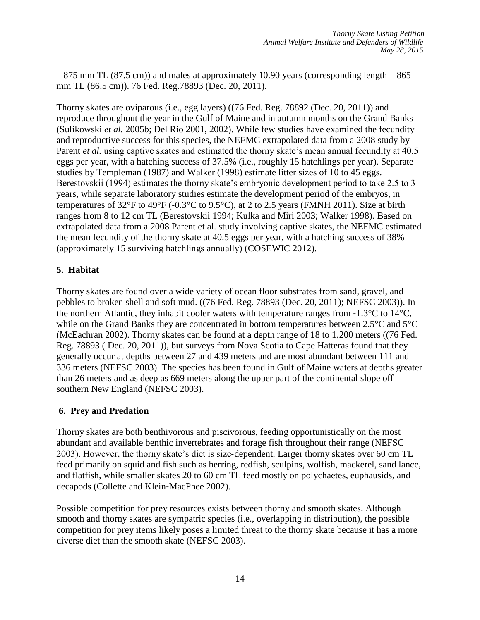– 875 mm TL (87.5 cm)) and males at approximately 10.90 years (corresponding length – 865 mm TL (86.5 cm)). 76 Fed. Reg.78893 (Dec. 20, 2011).

Thorny skates are oviparous (i.e., egg layers) ((76 Fed. Reg. 78892 (Dec. 20, 2011)) and reproduce throughout the year in the Gulf of Maine and in autumn months on the Grand Banks (Sulikowski *et al.* 2005b; Del Rio 2001, 2002). While few studies have examined the fecundity and reproductive success for this species, the NEFMC extrapolated data from a 2008 study by Parent *et al.* using captive skates and estimated the thorny skate's mean annual fecundity at 40.5 eggs per year, with a hatching success of 37.5% (i.e., roughly 15 hatchlings per year). Separate studies by Templeman (1987) and Walker (1998) estimate litter sizes of 10 to 45 eggs. Berestovskii (1994) estimates the thorny skate's embryonic development period to take 2.5 to 3 years, while separate laboratory studies estimate the development period of the embryos, in temperatures of  $32^{\circ}$ F to  $49^{\circ}$ F (-0.3 $^{\circ}$ C to 9.5 $^{\circ}$ C), at 2 to 2.5 years (FMNH 2011). Size at birth ranges from 8 to 12 cm TL (Berestovskii 1994; Kulka and Miri 2003; Walker 1998). Based on extrapolated data from a 2008 Parent et al. study involving captive skates, the NEFMC estimated the mean fecundity of the thorny skate at 40.5 eggs per year, with a hatching success of 38% (approximately 15 surviving hatchlings annually) (COSEWIC 2012).

## **5. Habitat**

Thorny skates are found over a wide variety of ocean floor substrates from sand, gravel, and pebbles to broken shell and soft mud. ((76 Fed. Reg. 78893 (Dec. 20, 2011); NEFSC 2003)). In the northern Atlantic, they inhabit cooler waters with temperature ranges from  $-1.3^{\circ}C$  to  $14^{\circ}C$ , while on the Grand Banks they are concentrated in bottom temperatures between 2.5°C and 5°C (McEachran 2002). Thorny skates can be found at a depth range of 18 to 1,200 meters ((76 Fed. Reg. 78893 ( Dec. 20, 2011)), but surveys from Nova Scotia to Cape Hatteras found that they generally occur at depths between 27 and 439 meters and are most abundant between 111 and 336 meters (NEFSC 2003). The species has been found in Gulf of Maine waters at depths greater than 26 meters and as deep as 669 meters along the upper part of the continental slope off southern New England (NEFSC 2003).

# **6. Prey and Predation**

Thorny skates are both benthivorous and piscivorous, feeding opportunistically on the most abundant and available benthic invertebrates and forage fish throughout their range (NEFSC 2003). However, the thorny skate's diet is size‐dependent. Larger thorny skates over 60 cm TL feed primarily on squid and fish such as herring, redfish, sculpins, wolfish, mackerel, sand lance, and flatfish, while smaller skates 20 to 60 cm TL feed mostly on polychaetes, euphausids, and decapods (Collette and Klein‐MacPhee 2002).

Possible competition for prey resources exists between thorny and smooth skates. Although smooth and thorny skates are sympatric species (i.e., overlapping in distribution), the possible competition for prey items likely poses a limited threat to the thorny skate because it has a more diverse diet than the smooth skate (NEFSC 2003).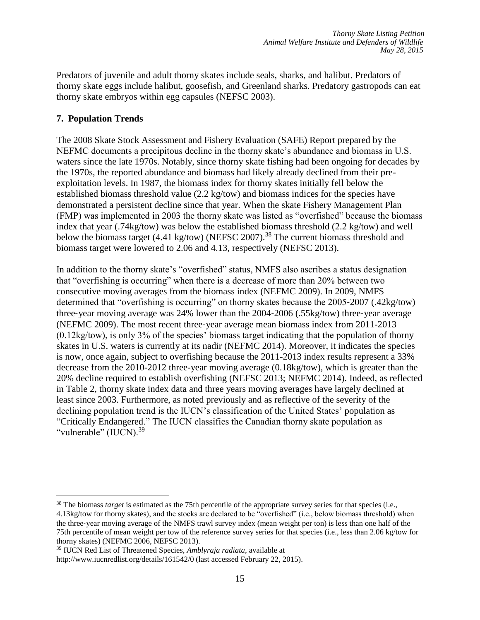Predators of juvenile and adult thorny skates include seals, sharks, and halibut. Predators of thorny skate eggs include halibut, goosefish, and Greenland sharks. Predatory gastropods can eat thorny skate embryos within egg capsules (NEFSC 2003).

### **7. Population Trends**

The 2008 Skate Stock Assessment and Fishery Evaluation (SAFE) Report prepared by the NEFMC documents a precipitous decline in the thorny skate's abundance and biomass in U.S. waters since the late 1970s. Notably, since thorny skate fishing had been ongoing for decades by the 1970s, the reported abundance and biomass had likely already declined from their preexploitation levels. In 1987, the biomass index for thorny skates initially fell below the established biomass threshold value (2.2 kg/tow) and biomass indices for the species have demonstrated a persistent decline since that year. When the skate Fishery Management Plan (FMP) was implemented in 2003 the thorny skate was listed as "overfished" because the biomass index that year (.74kg/tow) was below the established biomass threshold (2.2 kg/tow) and well below the biomass target (4.41 kg/tow) (NEFSC 2007).<sup>38</sup> The current biomass threshold and biomass target were lowered to 2.06 and 4.13, respectively (NEFSC 2013).

In addition to the thorny skate's "overfished" status, NMFS also ascribes a status designation that "overfishing is occurring" when there is a decrease of more than 20% between two consecutive moving averages from the biomass index (NEFMC 2009). In 2009, NMFS determined that "overfishing is occurring" on thorny skates because the 2005‐2007 (.42kg/tow) three‐year moving average was 24% lower than the 2004‐2006 (.55kg/tow) three‐year average (NEFMC 2009). The most recent three‐year average mean biomass index from 2011-2013 (0.12kg/tow), is only 3% of the species' biomass target indicating that the population of thorny skates in U.S. waters is currently at its nadir (NEFMC 2014). Moreover, it indicates the species is now, once again, subject to overfishing because the 2011-2013 index results represent a 33% decrease from the 2010-2012 three-year moving average (0.18kg/tow), which is greater than the 20% decline required to establish overfishing (NEFSC 2013; NEFMC 2014). Indeed, as reflected in Table 2, thorny skate index data and three years moving averages have largely declined at least since 2003. Furthermore, as noted previously and as reflective of the severity of the declining population trend is the IUCN's classification of the United States' population as "Critically Endangered." The IUCN classifies the Canadian thorny skate population as "vulnerable" (IUCN).<sup>39</sup>

 $\overline{a}$ <sup>38</sup> The biomass *target* is estimated as the 75th percentile of the appropriate survey series for that species (i.e., 4.13kg/tow for thorny skates), and the stocks are declared to be "overfished" (i.e., below biomass threshold) when the three‐year moving average of the NMFS trawl survey index (mean weight per ton) is less than one half of the 75th percentile of mean weight per tow of the reference survey series for that species (i.e., less than 2.06 kg/tow for thorny skates) (NEFMC 2006, NEFSC 2013).

<sup>39</sup> IUCN Red List of Threatened Species, *Amblyraja radiata,* available at

http://www.iucnredlist.org/details/161542/0 (last accessed February 22, 2015).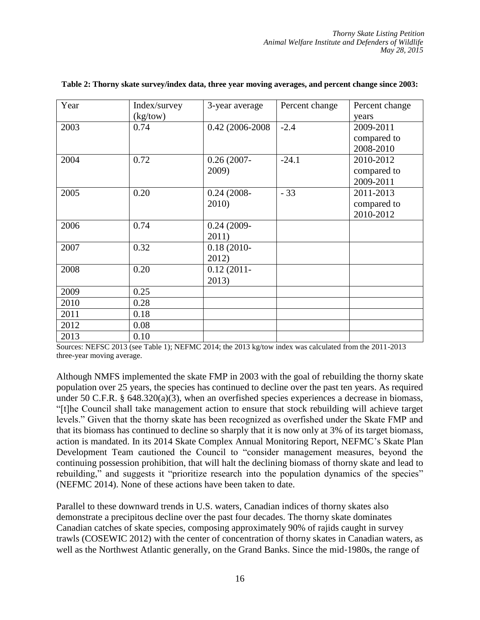| Year | Index/survey<br>(kg/tow) | 3-year average         | Percent change | Percent change<br>years               |
|------|--------------------------|------------------------|----------------|---------------------------------------|
| 2003 | 0.74                     | 0.42 (2006-2008)       | $-2.4$         | 2009-2011<br>compared to<br>2008-2010 |
| 2004 | 0.72                     | $0.26(2007 -$<br>2009) | $-24.1$        | 2010-2012<br>compared to<br>2009-2011 |
| 2005 | 0.20                     | $0.24(2008 -$<br>2010) | $-33$          | 2011-2013<br>compared to<br>2010-2012 |
| 2006 | 0.74                     | $0.24(2009 -$<br>2011) |                |                                       |
| 2007 | 0.32                     | $0.18(2010 -$<br>2012) |                |                                       |
| 2008 | 0.20                     | $0.12(2011 -$<br>2013) |                |                                       |
| 2009 | 0.25                     |                        |                |                                       |
| 2010 | 0.28                     |                        |                |                                       |
| 2011 | 0.18                     |                        |                |                                       |
| 2012 | 0.08                     |                        |                |                                       |
| 2013 | 0.10                     |                        |                |                                       |

#### **Table 2: Thorny skate survey/index data, three year moving averages, and percent change since 2003:**

Sources: NEFSC 2013 (see Table 1); NEFMC 2014; the 2013 kg/tow index was calculated from the 2011-2013 three-year moving average.

Although NMFS implemented the skate FMP in 2003 with the goal of rebuilding the thorny skate population over 25 years, the species has continued to decline over the past ten years. As required under 50 C.F.R. § 648.320(a)(3), when an overfished species experiences a decrease in biomass, "[t]he Council shall take management action to ensure that stock rebuilding will achieve target levels." Given that the thorny skate has been recognized as overfished under the Skate FMP and that its biomass has continued to decline so sharply that it is now only at 3% of its target biomass, action is mandated. In its 2014 Skate Complex Annual Monitoring Report, NEFMC's Skate Plan Development Team cautioned the Council to "consider management measures, beyond the continuing possession prohibition, that will halt the declining biomass of thorny skate and lead to rebuilding," and suggests it "prioritize research into the population dynamics of the species" (NEFMC 2014). None of these actions have been taken to date.

Parallel to these downward trends in U.S. waters, Canadian indices of thorny skates also demonstrate a precipitous decline over the past four decades. The thorny skate dominates Canadian catches of skate species, composing approximately 90% of rajids caught in survey trawls (COSEWIC 2012) with the center of concentration of thorny skates in Canadian waters, as well as the Northwest Atlantic generally, on the Grand Banks. Since the mid-1980s, the range of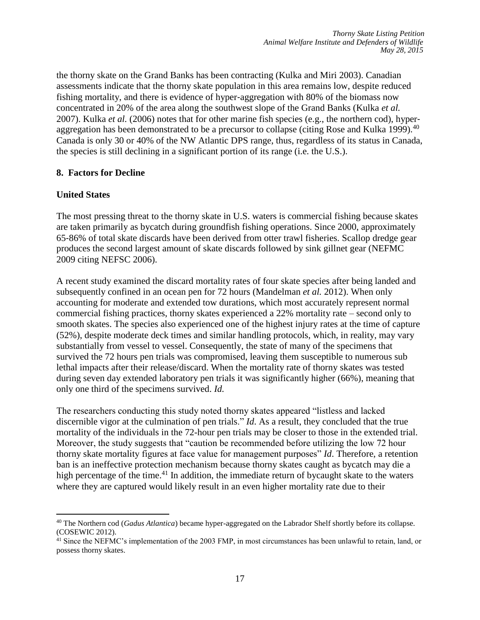the thorny skate on the Grand Banks has been contracting (Kulka and Miri 2003). Canadian assessments indicate that the thorny skate population in this area remains low, despite reduced fishing mortality, and there is evidence of hyper-aggregation with 80% of the biomass now concentrated in 20% of the area along the southwest slope of the Grand Banks (Kulka *et al.*  2007). Kulka *et al.* (2006) notes that for other marine fish species (e.g., the northern cod), hyper‐ aggregation has been demonstrated to be a precursor to collapse (citing Rose and Kulka 1999).<sup>40</sup> Canada is only 30 or 40% of the NW Atlantic DPS range, thus, regardless of its status in Canada, the species is still declining in a significant portion of its range (i.e. the U.S.).

### **8. Factors for Decline**

### **United States**

 $\overline{a}$ 

The most pressing threat to the thorny skate in U.S. waters is commercial fishing because skates are taken primarily as bycatch during groundfish fishing operations. Since 2000, approximately 65‐86% of total skate discards have been derived from otter trawl fisheries. Scallop dredge gear produces the second largest amount of skate discards followed by sink gillnet gear (NEFMC 2009 citing NEFSC 2006).

A recent study examined the discard mortality rates of four skate species after being landed and subsequently confined in an ocean pen for 72 hours (Mandelman *et al.* 2012). When only accounting for moderate and extended tow durations, which most accurately represent normal commercial fishing practices, thorny skates experienced a 22% mortality rate – second only to smooth skates. The species also experienced one of the highest injury rates at the time of capture (52%), despite moderate deck times and similar handling protocols, which, in reality, may vary substantially from vessel to vessel. Consequently, the state of many of the specimens that survived the 72 hours pen trials was compromised, leaving them susceptible to numerous sub lethal impacts after their release/discard. When the mortality rate of thorny skates was tested during seven day extended laboratory pen trials it was significantly higher (66%), meaning that only one third of the specimens survived. *Id.*

The researchers conducting this study noted thorny skates appeared "listless and lacked discernible vigor at the culmination of pen trials." *Id*. As a result, they concluded that the true mortality of the individuals in the 72-hour pen trials may be closer to those in the extended trial. Moreover, the study suggests that "caution be recommended before utilizing the low 72 hour thorny skate mortality figures at face value for management purposes" *Id*. Therefore, a retention ban is an ineffective protection mechanism because thorny skates caught as bycatch may die a high percentage of the time.<sup>41</sup> In addition, the immediate return of bycaught skate to the waters where they are captured would likely result in an even higher mortality rate due to their

<sup>40</sup> The Northern cod (*Gadus Atlantica*) became hyper-aggregated on the Labrador Shelf shortly before its collapse. (COSEWIC 2012).

<sup>&</sup>lt;sup>41</sup> Since the NEFMC's implementation of the 2003 FMP, in most circumstances has been unlawful to retain, land, or possess thorny skates.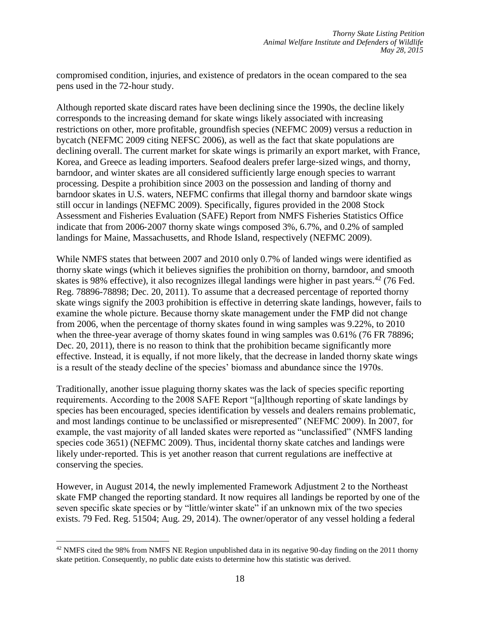compromised condition, injuries, and existence of predators in the ocean compared to the sea pens used in the 72-hour study.

Although reported skate discard rates have been declining since the 1990s, the decline likely corresponds to the increasing demand for skate wings likely associated with increasing restrictions on other, more profitable, groundfish species (NEFMC 2009) versus a reduction in bycatch (NEFMC 2009 citing NEFSC 2006), as well as the fact that skate populations are declining overall. The current market for skate wings is primarily an export market, with France, Korea, and Greece as leading importers. Seafood dealers prefer large-sized wings, and thorny, barndoor, and winter skates are all considered sufficiently large enough species to warrant processing. Despite a prohibition since 2003 on the possession and landing of thorny and barndoor skates in U.S. waters, NEFMC confirms that illegal thorny and barndoor skate wings still occur in landings (NEFMC 2009). Specifically, figures provided in the 2008 Stock Assessment and Fisheries Evaluation (SAFE) Report from NMFS Fisheries Statistics Office indicate that from 2006‐2007 thorny skate wings composed 3%, 6.7%, and 0.2% of sampled landings for Maine, Massachusetts, and Rhode Island, respectively (NEFMC 2009).

While NMFS states that between 2007 and 2010 only 0.7% of landed wings were identified as thorny skate wings (which it believes signifies the prohibition on thorny, barndoor, and smooth skates is 98% effective), it also recognizes illegal landings were higher in past years.  $42$  (76 Fed. Reg. 78896-78898; Dec. 20, 2011). To assume that a decreased percentage of reported thorny skate wings signify the 2003 prohibition is effective in deterring skate landings, however, fails to examine the whole picture. Because thorny skate management under the FMP did not change from 2006, when the percentage of thorny skates found in wing samples was 9.22%, to 2010 when the three-year average of thorny skates found in wing samples was 0.61% (76 FR 78896; Dec. 20, 2011), there is no reason to think that the prohibition became significantly more effective. Instead, it is equally, if not more likely, that the decrease in landed thorny skate wings is a result of the steady decline of the species' biomass and abundance since the 1970s.

Traditionally, another issue plaguing thorny skates was the lack of species specific reporting requirements. According to the 2008 SAFE Report "[a]lthough reporting of skate landings by species has been encouraged, species identification by vessels and dealers remains problematic, and most landings continue to be unclassified or misrepresented" (NEFMC 2009). In 2007, for example, the vast majority of all landed skates were reported as "unclassified" (NMFS landing species code 3651) (NEFMC 2009). Thus, incidental thorny skate catches and landings were likely under‐reported. This is yet another reason that current regulations are ineffective at conserving the species.

However, in August 2014, the newly implemented Framework Adjustment 2 to the Northeast skate FMP changed the reporting standard. It now requires all landings be reported by one of the seven specific skate species or by "little/winter skate" if an unknown mix of the two species exists. 79 Fed. Reg. 51504; Aug. 29, 2014). The owner/operator of any vessel holding a federal

 $\overline{a}$ <sup>42</sup> NMFS cited the 98% from NMFS NE Region unpublished data in its negative 90-day finding on the 2011 thorny skate petition. Consequently, no public date exists to determine how this statistic was derived.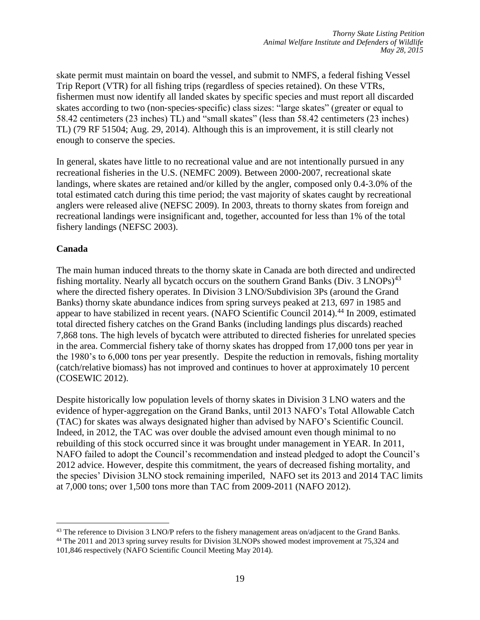skate permit must maintain on board the vessel, and submit to NMFS, a federal fishing Vessel Trip Report (VTR) for all fishing trips (regardless of species retained). On these VTRs, fishermen must now identify all landed skates by specific species and must report all discarded skates according to two (non‐species‐specific) class sizes: "large skates" (greater or equal to 58.42 centimeters (23 inches) TL) and "small skates" (less than 58.42 centimeters (23 inches) TL) (79 RF 51504; Aug. 29, 2014). Although this is an improvement, it is still clearly not enough to conserve the species.

In general, skates have little to no recreational value and are not intentionally pursued in any recreational fisheries in the U.S. (NEMFC 2009). Between 2000‐2007, recreational skate landings, where skates are retained and/or killed by the angler, composed only 0.4‐3.0% of the total estimated catch during this time period; the vast majority of skates caught by recreational anglers were released alive (NEFSC 2009). In 2003, threats to thorny skates from foreign and recreational landings were insignificant and, together, accounted for less than 1% of the total fishery landings (NEFSC 2003).

### **Canada**

 $\overline{a}$ 

The main human induced threats to the thorny skate in Canada are both directed and undirected fishing mortality. Nearly all bycatch occurs on the southern Grand Banks (Div. 3 LNOPs)<sup>43</sup> where the directed fishery operates. In Division 3 LNO/Subdivision 3Ps (around the Grand Banks) thorny skate abundance indices from spring surveys peaked at 213, 697 in 1985 and appear to have stabilized in recent years. (NAFO Scientific Council 2014).<sup>44</sup> In 2009, estimated total directed fishery catches on the Grand Banks (including landings plus discards) reached 7,868 tons. The high levels of bycatch were attributed to directed fisheries for unrelated species in the area. Commercial fishery take of thorny skates has dropped from 17,000 tons per year in the 1980's to 6,000 tons per year presently. Despite the reduction in removals, fishing mortality (catch/relative biomass) has not improved and continues to hover at approximately 10 percent (COSEWIC 2012).

Despite historically low population levels of thorny skates in Division 3 LNO waters and the evidence of hyper‐aggregation on the Grand Banks, until 2013 NAFO's Total Allowable Catch (TAC) for skates was always designated higher than advised by NAFO's Scientific Council. Indeed, in 2012, the TAC was over double the advised amount even though minimal to no rebuilding of this stock occurred since it was brought under management in YEAR. In 2011, NAFO failed to adopt the Council's recommendation and instead pledged to adopt the Council's 2012 advice. However, despite this commitment, the years of decreased fishing mortality, and the species' Division 3LNO stock remaining imperiled, NAFO set its 2013 and 2014 TAC limits at 7,000 tons; over 1,500 tons more than TAC from 2009-2011 (NAFO 2012).

<sup>&</sup>lt;sup>43</sup> The reference to Division 3 LNO/P refers to the fishery management areas on/adjacent to the Grand Banks.

<sup>44</sup> The 2011 and 2013 spring survey results for Division 3LNOPs showed modest improvement at 75,324 and 101,846 respectively (NAFO Scientific Council Meeting May 2014).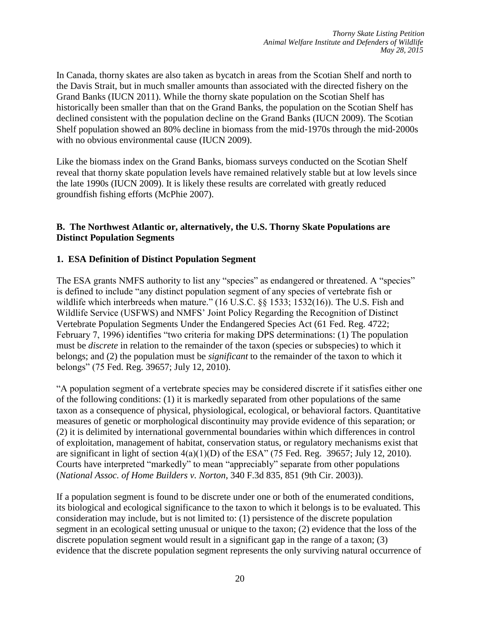In Canada, thorny skates are also taken as bycatch in areas from the Scotian Shelf and north to the Davis Strait, but in much smaller amounts than associated with the directed fishery on the Grand Banks (IUCN 2011). While the thorny skate population on the Scotian Shelf has historically been smaller than that on the Grand Banks, the population on the Scotian Shelf has declined consistent with the population decline on the Grand Banks (IUCN 2009). The Scotian Shelf population showed an 80% decline in biomass from the mid‐1970s through the mid‐2000s with no obvious environmental cause (IUCN 2009).

Like the biomass index on the Grand Banks, biomass surveys conducted on the Scotian Shelf reveal that thorny skate population levels have remained relatively stable but at low levels since the late 1990s (IUCN 2009). It is likely these results are correlated with greatly reduced groundfish fishing efforts (McPhie 2007).

### **B. The Northwest Atlantic or, alternatively, the U.S. Thorny Skate Populations are Distinct Population Segments**

### **1. ESA Definition of Distinct Population Segment**

The ESA grants NMFS authority to list any "species" as endangered or threatened. A "species" is defined to include "any distinct population segment of any species of vertebrate fish or wildlife which interbreeds when mature." (16 U.S.C. §§ 1533; 1532(16)). The U.S. Fish and Wildlife Service (USFWS) and NMFS' Joint Policy Regarding the Recognition of Distinct Vertebrate Population Segments Under the Endangered Species Act (61 Fed. Reg. 4722; February 7, 1996) identifies "two criteria for making DPS determinations: (1) The population must be *discrete* in relation to the remainder of the taxon (species or subspecies) to which it belongs; and (2) the population must be *significant* to the remainder of the taxon to which it belongs" (75 Fed. Reg. 39657; July 12, 2010).

"A population segment of a vertebrate species may be considered discrete if it satisfies either one of the following conditions: (1) it is markedly separated from other populations of the same taxon as a consequence of physical, physiological, ecological, or behavioral factors. Quantitative measures of genetic or morphological discontinuity may provide evidence of this separation; or (2) it is delimited by international governmental boundaries within which differences in control of exploitation, management of habitat, conservation status, or regulatory mechanisms exist that are significant in light of section  $4(a)(1)(D)$  of the ESA" (75 Fed. Reg. 39657; July 12, 2010). Courts have interpreted "markedly" to mean "appreciably" separate from other populations (*National Assoc. of Home Builders v. Norton*, 340 F.3d 835, 851 (9th Cir. 2003)).

If a population segment is found to be discrete under one or both of the enumerated conditions, its biological and ecological significance to the taxon to which it belongs is to be evaluated. This consideration may include, but is not limited to: (1) persistence of the discrete population segment in an ecological setting unusual or unique to the taxon; (2) evidence that the loss of the discrete population segment would result in a significant gap in the range of a taxon; (3) evidence that the discrete population segment represents the only surviving natural occurrence of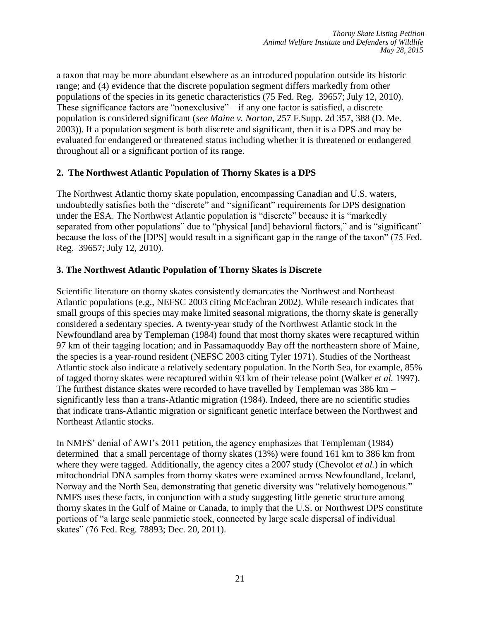a taxon that may be more abundant elsewhere as an introduced population outside its historic range; and (4) evidence that the discrete population segment differs markedly from other populations of the species in its genetic characteristics (75 Fed. Reg. 39657; July 12, 2010). These significance factors are "nonexclusive" – if any one factor is satisfied, a discrete population is considered significant (*see Maine v. Norton*, 257 F.Supp. 2d 357, 388 (D. Me. 2003)). If a population segment is both discrete and significant, then it is a DPS and may be evaluated for endangered or threatened status including whether it is threatened or endangered throughout all or a significant portion of its range.

### **2. The Northwest Atlantic Population of Thorny Skates is a DPS**

The Northwest Atlantic thorny skate population, encompassing Canadian and U.S. waters, undoubtedly satisfies both the "discrete" and "significant" requirements for DPS designation under the ESA. The Northwest Atlantic population is "discrete" because it is "markedly separated from other populations" due to "physical [and] behavioral factors," and is "significant" because the loss of the [DPS] would result in a significant gap in the range of the taxon" (75 Fed. Reg. 39657; July 12, 2010).

### **3. The Northwest Atlantic Population of Thorny Skates is Discrete**

Scientific literature on thorny skates consistently demarcates the Northwest and Northeast Atlantic populations (e.g., NEFSC 2003 citing McEachran 2002). While research indicates that small groups of this species may make limited seasonal migrations, the thorny skate is generally considered a sedentary species. A twenty‐year study of the Northwest Atlantic stock in the Newfoundland area by Templeman (1984) found that most thorny skates were recaptured within 97 km of their tagging location; and in Passamaquoddy Bay off the northeastern shore of Maine, the species is a year‐round resident (NEFSC 2003 citing Tyler 1971). Studies of the Northeast Atlantic stock also indicate a relatively sedentary population. In the North Sea, for example, 85% of tagged thorny skates were recaptured within 93 km of their release point (Walker *et al.* 1997). The furthest distance skates were recorded to have travelled by Templeman was 386 km – significantly less than a trans-Atlantic migration (1984). Indeed, there are no scientific studies that indicate trans‐Atlantic migration or significant genetic interface between the Northwest and Northeast Atlantic stocks.

In NMFS' denial of AWI's 2011 petition, the agency emphasizes that Templeman (1984) determined that a small percentage of thorny skates (13%) were found 161 km to 386 km from where they were tagged. Additionally, the agency cites a 2007 study (Chevolot *et al.*) in which mitochondrial DNA samples from thorny skates were examined across Newfoundland, Iceland, Norway and the North Sea, demonstrating that genetic diversity was "relatively homogenous." NMFS uses these facts, in conjunction with a study suggesting little genetic structure among thorny skates in the Gulf of Maine or Canada, to imply that the U.S. or Northwest DPS constitute portions of "a large scale panmictic stock, connected by large scale dispersal of individual skates" (76 Fed. Reg. 78893; Dec. 20, 2011).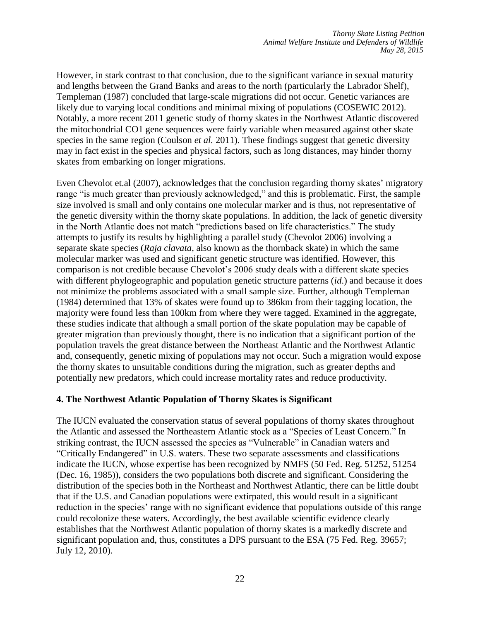However, in stark contrast to that conclusion, due to the significant variance in sexual maturity and lengths between the Grand Banks and areas to the north (particularly the Labrador Shelf), Templeman (1987) concluded that large-scale migrations did not occur. Genetic variances are likely due to varying local conditions and minimal mixing of populations (COSEWIC 2012). Notably, a more recent 2011 genetic study of thorny skates in the Northwest Atlantic discovered the mitochondrial CO1 gene sequences were fairly variable when measured against other skate species in the same region (Coulson *et al.* 2011). These findings suggest that genetic diversity may in fact exist in the species and physical factors, such as long distances, may hinder thorny skates from embarking on longer migrations.

Even Chevolot et.al (2007), acknowledges that the conclusion regarding thorny skates' migratory range "is much greater than previously acknowledged," and this is problematic. First, the sample size involved is small and only contains one molecular marker and is thus, not representative of the genetic diversity within the thorny skate populations. In addition, the lack of genetic diversity in the North Atlantic does not match "predictions based on life characteristics." The study attempts to justify its results by highlighting a parallel study (Chevolot 2006) involving a separate skate species (*Raja clavata*, also known as the thornback skate) in which the same molecular marker was used and significant genetic structure was identified. However, this comparison is not credible because Chevolot's 2006 study deals with a different skate species with different phylogeographic and population genetic structure patterns (*id*.) and because it does not minimize the problems associated with a small sample size. Further, although Templeman (1984) determined that 13% of skates were found up to 386km from their tagging location, the majority were found less than 100km from where they were tagged. Examined in the aggregate, these studies indicate that although a small portion of the skate population may be capable of greater migration than previously thought, there is no indication that a significant portion of the population travels the great distance between the Northeast Atlantic and the Northwest Atlantic and, consequently, genetic mixing of populations may not occur. Such a migration would expose the thorny skates to unsuitable conditions during the migration, such as greater depths and potentially new predators, which could increase mortality rates and reduce productivity.

#### **4. The Northwest Atlantic Population of Thorny Skates is Significant**

The IUCN evaluated the conservation status of several populations of thorny skates throughout the Atlantic and assessed the Northeastern Atlantic stock as a "Species of Least Concern." In striking contrast, the IUCN assessed the species as "Vulnerable" in Canadian waters and "Critically Endangered" in U.S. waters. These two separate assessments and classifications indicate the IUCN, whose expertise has been recognized by NMFS (50 Fed. Reg. 51252, 51254 (Dec. 16, 1985)), considers the two populations both discrete and significant. Considering the distribution of the species both in the Northeast and Northwest Atlantic, there can be little doubt that if the U.S. and Canadian populations were extirpated, this would result in a significant reduction in the species' range with no significant evidence that populations outside of this range could recolonize these waters. Accordingly, the best available scientific evidence clearly establishes that the Northwest Atlantic population of thorny skates is a markedly discrete and significant population and, thus, constitutes a DPS pursuant to the ESA (75 Fed. Reg. 39657; July 12, 2010).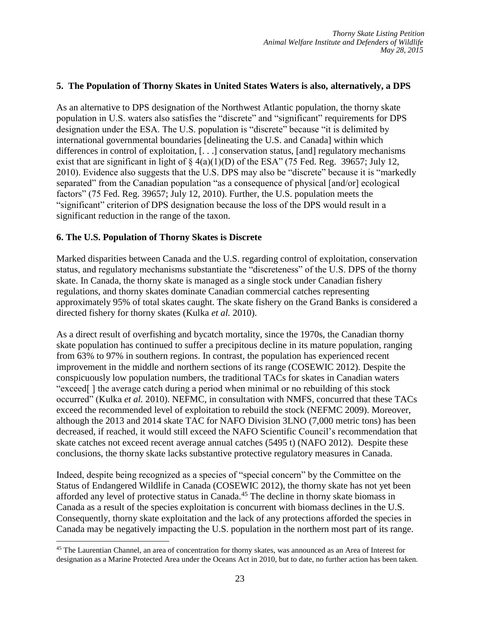### **5. The Population of Thorny Skates in United States Waters is also, alternatively, a DPS**

As an alternative to DPS designation of the Northwest Atlantic population, the thorny skate population in U.S. waters also satisfies the "discrete" and "significant" requirements for DPS designation under the ESA. The U.S. population is "discrete" because "it is delimited by international governmental boundaries [delineating the U.S. and Canada] within which differences in control of exploitation, [. . .] conservation status, [and] regulatory mechanisms exist that are significant in light of  $\S 4(a)(1)(D)$  of the ESA" (75 Fed. Reg. 39657; July 12, 2010). Evidence also suggests that the U.S. DPS may also be "discrete" because it is "markedly separated" from the Canadian population "as a consequence of physical [and/or] ecological factors" (75 Fed. Reg. 39657; July 12, 2010). Further, the U.S. population meets the "significant" criterion of DPS designation because the loss of the DPS would result in a significant reduction in the range of the taxon.

### **6. The U.S. Population of Thorny Skates is Discrete**

 $\overline{a}$ 

Marked disparities between Canada and the U.S. regarding control of exploitation, conservation status, and regulatory mechanisms substantiate the "discreteness" of the U.S. DPS of the thorny skate. In Canada, the thorny skate is managed as a single stock under Canadian fishery regulations, and thorny skates dominate Canadian commercial catches representing approximately 95% of total skates caught. The skate fishery on the Grand Banks is considered a directed fishery for thorny skates (Kulka *et al.* 2010).

As a direct result of overfishing and bycatch mortality, since the 1970s, the Canadian thorny skate population has continued to suffer a precipitous decline in its mature population, ranging from 63% to 97% in southern regions. In contrast, the population has experienced recent improvement in the middle and northern sections of its range (COSEWIC 2012). Despite the conspicuously low population numbers, the traditional TACs for skates in Canadian waters "exceed[ ] the average catch during a period when minimal or no rebuilding of this stock occurred" (Kulka *et al.* 2010). NEFMC, in consultation with NMFS, concurred that these TACs exceed the recommended level of exploitation to rebuild the stock (NEFMC 2009). Moreover, although the 2013 and 2014 skate TAC for NAFO Division 3LNO (7,000 metric tons) has been decreased, if reached, it would still exceed the NAFO Scientific Council's recommendation that skate catches not exceed recent average annual catches (5495 t) (NAFO 2012). Despite these conclusions, the thorny skate lacks substantive protective regulatory measures in Canada.

Indeed, despite being recognized as a species of "special concern" by the Committee on the Status of Endangered Wildlife in Canada (COSEWIC 2012), the thorny skate has not yet been afforded any level of protective status in Canada.<sup>45</sup> The decline in thorny skate biomass in Canada as a result of the species exploitation is concurrent with biomass declines in the U.S. Consequently, thorny skate exploitation and the lack of any protections afforded the species in Canada may be negatively impacting the U.S. population in the northern most part of its range.

<sup>45</sup> The Laurentian Channel, an area of concentration for thorny skates, was announced as an Area of Interest for designation as a Marine Protected Area under the Oceans Act in 2010, but to date, no further action has been taken.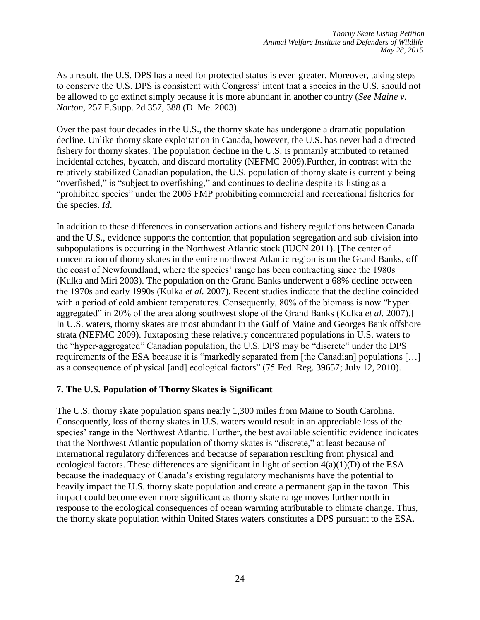As a result, the U.S. DPS has a need for protected status is even greater. Moreover, taking steps to conserve the U.S. DPS is consistent with Congress' intent that a species in the U.S. should not be allowed to go extinct simply because it is more abundant in another country (*See Maine v. Norton,* 257 F.Supp. 2d 357, 388 (D. Me. 2003).

Over the past four decades in the U.S., the thorny skate has undergone a dramatic population decline. Unlike thorny skate exploitation in Canada, however, the U.S. has never had a directed fishery for thorny skates. The population decline in the U.S. is primarily attributed to retained incidental catches, bycatch, and discard mortality (NEFMC 2009).Further, in contrast with the relatively stabilized Canadian population, the U.S. population of thorny skate is currently being "overfished," is "subject to overfishing," and continues to decline despite its listing as a "prohibited species" under the 2003 FMP prohibiting commercial and recreational fisheries for the species. *Id*.

In addition to these differences in conservation actions and fishery regulations between Canada and the U.S., evidence supports the contention that population segregation and sub‐division into subpopulations is occurring in the Northwest Atlantic stock (IUCN 2011). [The center of concentration of thorny skates in the entire northwest Atlantic region is on the Grand Banks, off the coast of Newfoundland, where the species' range has been contracting since the 1980s (Kulka and Miri 2003). The population on the Grand Banks underwent a 68% decline between the 1970s and early 1990s (Kulka *et al.* 2007). Recent studies indicate that the decline coincided with a period of cold ambient temperatures. Consequently, 80% of the biomass is now "hyperaggregated" in 20% of the area along southwest slope of the Grand Banks (Kulka *et al.* 2007).] In U.S. waters, thorny skates are most abundant in the Gulf of Maine and Georges Bank offshore strata (NEFMC 2009). Juxtaposing these relatively concentrated populations in U.S. waters to the "hyper‐aggregated" Canadian population, the U.S. DPS may be "discrete" under the DPS requirements of the ESA because it is "markedly separated from [the Canadian] populations […] as a consequence of physical [and] ecological factors" (75 Fed. Reg. 39657; July 12, 2010).

### **7. The U.S. Population of Thorny Skates is Significant**

The U.S. thorny skate population spans nearly 1,300 miles from Maine to South Carolina. Consequently, loss of thorny skates in U.S. waters would result in an appreciable loss of the species' range in the Northwest Atlantic. Further, the best available scientific evidence indicates that the Northwest Atlantic population of thorny skates is "discrete," at least because of international regulatory differences and because of separation resulting from physical and ecological factors. These differences are significant in light of section 4(a)(1)(D) of the ESA because the inadequacy of Canada's existing regulatory mechanisms have the potential to heavily impact the U.S. thorny skate population and create a permanent gap in the taxon. This impact could become even more significant as thorny skate range moves further north in response to the ecological consequences of ocean warming attributable to climate change. Thus, the thorny skate population within United States waters constitutes a DPS pursuant to the ESA.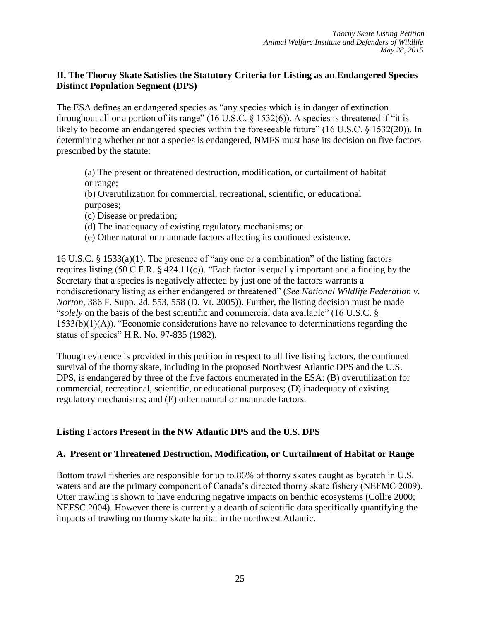### **II. The Thorny Skate Satisfies the Statutory Criteria for Listing as an Endangered Species Distinct Population Segment (DPS)**

The ESA defines an endangered species as "any species which is in danger of extinction throughout all or a portion of its range" (16 U.S.C. § 1532(6)). A species is threatened if "it is likely to become an endangered species within the foreseeable future" (16 U.S.C. § 1532(20)). In determining whether or not a species is endangered, NMFS must base its decision on five factors prescribed by the statute:

(a) The present or threatened destruction, modification, or curtailment of habitat or range;

(b) Overutilization for commercial, recreational, scientific, or educational purposes;

(c) Disease or predation;

(d) The inadequacy of existing regulatory mechanisms; or

(e) Other natural or manmade factors affecting its continued existence.

16 U.S.C. § 1533(a)(1). The presence of "any one or a combination" of the listing factors requires listing (50 C.F.R. § 424.11(c)). "Each factor is equally important and a finding by the Secretary that a species is negatively affected by just one of the factors warrants a nondiscretionary listing as either endangered or threatened" (*See National Wildlife Federation v. Norton*, 386 F. Supp. 2d. 553, 558 (D. Vt. 2005)). Further, the listing decision must be made "*solely* on the basis of the best scientific and commercial data available" (16 U.S.C. §  $1533(b)(1)(A)$ ). "Economic considerations have no relevance to determinations regarding the status of species" H.R. No. 97‐835 (1982).

Though evidence is provided in this petition in respect to all five listing factors, the continued survival of the thorny skate, including in the proposed Northwest Atlantic DPS and the U.S. DPS, is endangered by three of the five factors enumerated in the ESA: (B) overutilization for commercial, recreational, scientific, or educational purposes; (D) inadequacy of existing regulatory mechanisms; and (E) other natural or manmade factors.

### **Listing Factors Present in the NW Atlantic DPS and the U.S. DPS**

### **A. Present or Threatened Destruction, Modification, or Curtailment of Habitat or Range**

Bottom trawl fisheries are responsible for up to 86% of thorny skates caught as bycatch in U.S. waters and are the primary component of Canada's directed thorny skate fishery (NEFMC 2009). Otter trawling is shown to have enduring negative impacts on benthic ecosystems (Collie 2000; NEFSC 2004). However there is currently a dearth of scientific data specifically quantifying the impacts of trawling on thorny skate habitat in the northwest Atlantic.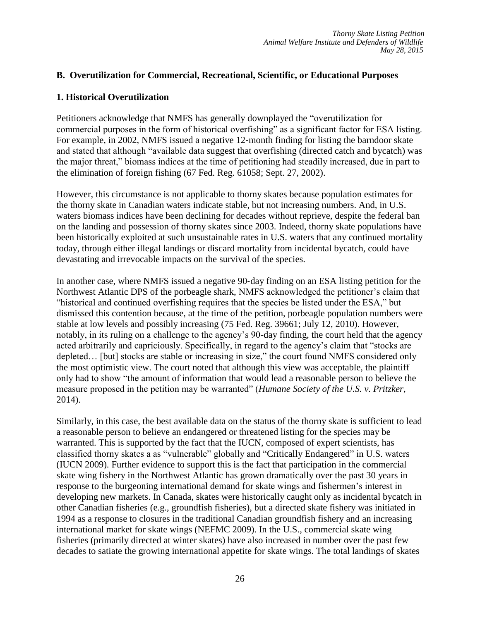### **B. Overutilization for Commercial, Recreational, Scientific, or Educational Purposes**

#### **1. Historical Overutilization**

Petitioners acknowledge that NMFS has generally downplayed the "overutilization for commercial purposes in the form of historical overfishing" as a significant factor for ESA listing. For example, in 2002, NMFS issued a negative 12-month finding for listing the barndoor skate and stated that although "available data suggest that overfishing (directed catch and bycatch) was the major threat," biomass indices at the time of petitioning had steadily increased, due in part to the elimination of foreign fishing (67 Fed. Reg. 61058; Sept. 27, 2002).

However, this circumstance is not applicable to thorny skates because population estimates for the thorny skate in Canadian waters indicate stable, but not increasing numbers. And, in U.S. waters biomass indices have been declining for decades without reprieve, despite the federal ban on the landing and possession of thorny skates since 2003. Indeed, thorny skate populations have been historically exploited at such unsustainable rates in U.S. waters that any continued mortality today, through either illegal landings or discard mortality from incidental bycatch, could have devastating and irrevocable impacts on the survival of the species.

In another case, where NMFS issued a negative 90‐day finding on an ESA listing petition for the Northwest Atlantic DPS of the porbeagle shark, NMFS acknowledged the petitioner's claim that "historical and continued overfishing requires that the species be listed under the ESA," but dismissed this contention because, at the time of the petition, porbeagle population numbers were stable at low levels and possibly increasing (75 Fed. Reg. 39661; July 12, 2010). However, notably, in its ruling on a challenge to the agency's 90-day finding, the court held that the agency acted arbitrarily and capriciously. Specifically, in regard to the agency's claim that "stocks are depleted… [but] stocks are stable or increasing in size," the court found NMFS considered only the most optimistic view. The court noted that although this view was acceptable, the plaintiff only had to show "the amount of information that would lead a reasonable person to believe the measure proposed in the petition may be warranted" (*Humane Society of the U.S. v. Pritzker*, 2014).

Similarly, in this case, the best available data on the status of the thorny skate is sufficient to lead a reasonable person to believe an endangered or threatened listing for the species may be warranted. This is supported by the fact that the IUCN, composed of expert scientists, has classified thorny skates a as "vulnerable" globally and "Critically Endangered" in U.S. waters (IUCN 2009). Further evidence to support this is the fact that participation in the commercial skate wing fishery in the Northwest Atlantic has grown dramatically over the past 30 years in response to the burgeoning international demand for skate wings and fishermen's interest in developing new markets. In Canada, skates were historically caught only as incidental bycatch in other Canadian fisheries (e.g., groundfish fisheries), but a directed skate fishery was initiated in 1994 as a response to closures in the traditional Canadian groundfish fishery and an increasing international market for skate wings (NEFMC 2009). In the U.S., commercial skate wing fisheries (primarily directed at winter skates) have also increased in number over the past few decades to satiate the growing international appetite for skate wings. The total landings of skates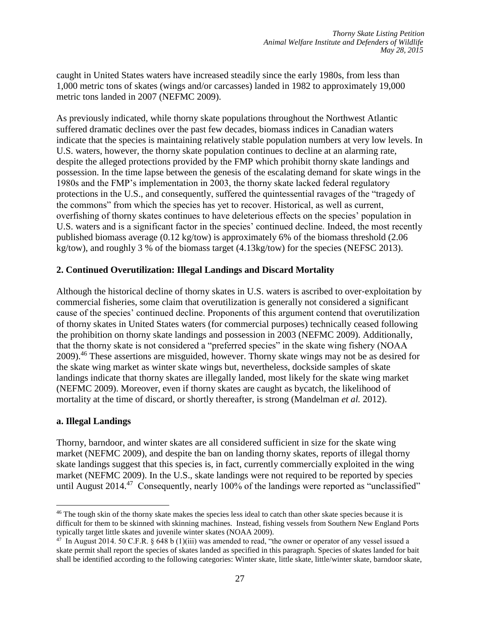caught in United States waters have increased steadily since the early 1980s, from less than 1,000 metric tons of skates (wings and/or carcasses) landed in 1982 to approximately 19,000 metric tons landed in 2007 (NEFMC 2009).

As previously indicated, while thorny skate populations throughout the Northwest Atlantic suffered dramatic declines over the past few decades, biomass indices in Canadian waters indicate that the species is maintaining relatively stable population numbers at very low levels. In U.S. waters, however, the thorny skate population continues to decline at an alarming rate, despite the alleged protections provided by the FMP which prohibit thorny skate landings and possession. In the time lapse between the genesis of the escalating demand for skate wings in the 1980s and the FMP's implementation in 2003, the thorny skate lacked federal regulatory protections in the U.S., and consequently, suffered the quintessential ravages of the "tragedy of the commons" from which the species has yet to recover. Historical, as well as current, overfishing of thorny skates continues to have deleterious effects on the species' population in U.S. waters and is a significant factor in the species' continued decline. Indeed, the most recently published biomass average (0.12 kg/tow) is approximately 6% of the biomass threshold (2.06 kg/tow), and roughly 3 % of the biomass target (4.13kg/tow) for the species (NEFSC 2013).

### **2. Continued Overutilization: Illegal Landings and Discard Mortality**

Although the historical decline of thorny skates in U.S. waters is ascribed to over‐exploitation by commercial fisheries, some claim that overutilization is generally not considered a significant cause of the species' continued decline. Proponents of this argument contend that overutilization of thorny skates in United States waters (for commercial purposes) technically ceased following the prohibition on thorny skate landings and possession in 2003 (NEFMC 2009). Additionally, that the thorny skate is not considered a "preferred species" in the skate wing fishery (NOAA 2009).<sup>46</sup> These assertions are misguided, however. Thorny skate wings may not be as desired for the skate wing market as winter skate wings but, nevertheless, dockside samples of skate landings indicate that thorny skates are illegally landed, most likely for the skate wing market (NEFMC 2009). Moreover, even if thorny skates are caught as bycatch, the likelihood of mortality at the time of discard, or shortly thereafter, is strong (Mandelman *et al.* 2012).

#### **a. Illegal Landings**

 $\overline{a}$ 

Thorny, barndoor, and winter skates are all considered sufficient in size for the skate wing market (NEFMC 2009), and despite the ban on landing thorny skates, reports of illegal thorny skate landings suggest that this species is, in fact, currently commercially exploited in the wing market (NEFMC 2009). In the U.S., skate landings were not required to be reported by species until August  $2014.^{47}$  Consequently, nearly 100% of the landings were reported as "unclassified"

<sup>&</sup>lt;sup>46</sup> The tough skin of the thorny skate makes the species less ideal to catch than other skate species because it is difficult for them to be skinned with skinning machines. Instead, fishing vessels from Southern New England Ports typically target little skates and juvenile winter skates (NOAA 2009).

<sup>&</sup>lt;sup>47</sup> In August 2014. 50 C.F.R. § 648 b (1)(iii) was amended to read, "the owner or operator of any vessel issued a skate permit shall report the species of skates landed as specified in this paragraph. Species of skates landed for bait shall be identified according to the following categories: Winter skate, little skate, little/winter skate, barndoor skate,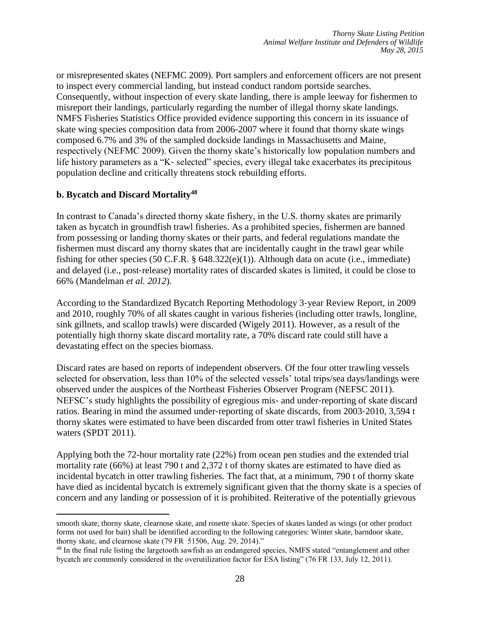or misrepresented skates (NEFMC 2009). Port samplers and enforcement officers are not present to inspect every commercial landing, but instead conduct random portside searches. Consequently, without inspection of every skate landing, there is ample leeway for fishermen to misreport their landings, particularly regarding the number of illegal thorny skate landings. NMFS Fisheries Statistics Office provided evidence supporting this concern in its issuance of skate wing species composition data from 2006‐2007 where it found that thorny skate wings composed 6.7% and 3% of the sampled dockside landings in Massachusetts and Maine, respectively (NEFMC 2009). Given the thorny skate's historically low population numbers and life history parameters as a "K‐ selected" species, every illegal take exacerbates its precipitous population decline and critically threatens stock rebuilding efforts.

### **b. Bycatch and Discard Mortality<sup>48</sup>**

 $\overline{a}$ 

In contrast to Canada's directed thorny skate fishery, in the U.S. thorny skates are primarily taken as bycatch in groundfish trawl fisheries. As a prohibited species, fishermen are banned from possessing or landing thorny skates or their parts, and federal regulations mandate the fishermen must discard any thorny skates that are incidentally caught in the trawl gear while fishing for other species (50 C.F.R. § 648.322(e)(1)). Although data on acute (i.e., immediate) and delayed (i.e., post‐release) mortality rates of discarded skates is limited, it could be close to 66% (Mandelman *et al. 2012*).

According to the Standardized Bycatch Reporting Methodology 3‐year Review Report, in 2009 and 2010, roughly 70% of all skates caught in various fisheries (including otter trawls, longline, sink gillnets, and scallop trawls) were discarded (Wigely 2011). However, as a result of the potentially high thorny skate discard mortality rate, a 70% discard rate could still have a devastating effect on the species biomass.

Discard rates are based on reports of independent observers. Of the four otter trawling vessels selected for observation, less than 10% of the selected vessels' total trips/sea days/landings were observed under the auspices of the Northeast Fisheries Observer Program (NEFSC 2011). NEFSC's study highlights the possibility of egregious mis‐ and under‐reporting of skate discard ratios. Bearing in mind the assumed under-reporting of skate discards, from 2003-2010, 3,594 t thorny skates were estimated to have been discarded from otter trawl fisheries in United States waters (SPDT 2011).

Applying both the 72-hour mortality rate (22%) from ocean pen studies and the extended trial mortality rate (66%) at least 790 t and 2,372 t of thorny skates are estimated to have died as incidental bycatch in otter trawling fisheries. The fact that, at a minimum, 790 t of thorny skate have died as incidental bycatch is extremely significant given that the thorny skate is a species of concern and any landing or possession of it is prohibited. Reiterative of the potentially grievous

smooth skate, thorny skate, clearnose skate, and rosette skate. Species of skates landed as wings (or other product forms not used for bait) shall be identified according to the following categories: Winter skate, barndoor skate, thorny skate, and clearnose skate (79 FR 51506, Aug. 29, 2014)."

<sup>48</sup> In the final rule listing the largetooth sawfish as an endangered species, NMFS stated "entanglement and other bycatch are commonly considered in the overutilization factor for ESA listing" (76 FR 133, July 12, 2011).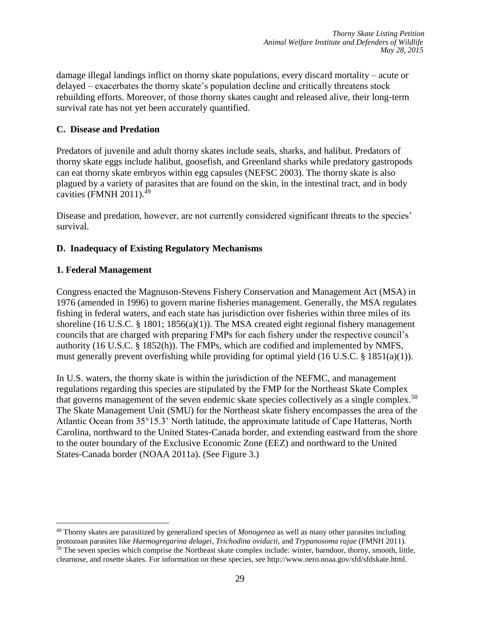damage illegal landings inflict on thorny skate populations, every discard mortality – acute or delayed – exacerbates the thorny skate's population decline and critically threatens stock rebuilding efforts. Moreover, of those thorny skates caught and released alive, their long‐term survival rate has not yet been accurately quantified.

## **C. Disease and Predation**

Predators of juvenile and adult thorny skates include seals, sharks, and halibut. Predators of thorny skate eggs include halibut, goosefish, and Greenland sharks while predatory gastropods can eat thorny skate embryos within egg capsules (NEFSC 2003). The thorny skate is also plagued by a variety of parasites that are found on the skin, in the intestinal tract, and in body cavities (FMNH 2011).<sup>49</sup>

Disease and predation, however, are not currently considered significant threats to the species' survival.

## **D. Inadequacy of Existing Regulatory Mechanisms**

### **1. Federal Management**

 $\overline{a}$ 

Congress enacted the Magnuson‐Stevens Fishery Conservation and Management Act (MSA) in 1976 (amended in 1996) to govern marine fisheries management. Generally, the MSA regulates fishing in federal waters, and each state has jurisdiction over fisheries within three miles of its shoreline (16 U.S.C. § 1801; 1856(a)(1)). The MSA created eight regional fishery management councils that are charged with preparing FMPs for each fishery under the respective council's authority (16 U.S.C. § 1852(h)). The FMPs, which are codified and implemented by NMFS, must generally prevent overfishing while providing for optimal yield (16 U.S.C. § 1851(a)(1)).

In U.S. waters, the thorny skate is within the jurisdiction of the NEFMC, and management regulations regarding this species are stipulated by the FMP for the Northeast Skate Complex that governs management of the seven endemic skate species collectively as a single complex.<sup>50</sup> The Skate Management Unit (SMU) for the Northeast skate fishery encompasses the area of the Atlantic Ocean from 35°15.3' North latitude, the approximate latitude of Cape Hatteras, North Carolina, northward to the United States‐Canada border, and extending eastward from the shore to the outer boundary of the Exclusive Economic Zone (EEZ) and northward to the United States‐Canada border (NOAA 2011a). (See Figure 3.)

<sup>49</sup> Thorny skates are parasitized by generalized species of *Monogenea* as well as many other parasites including protozoan parasites like *Haemogregarina delagei*, *Trichodina oviducti*, and *Trypanosoma rajae* (FMNH 2011).  $50$  The seven species which comprise the Northeast skate complex include: winter, barndoor, thorny, smooth, little, clearnose, and rosette skates. For information on these species, see http://www.nero.noaa.gov/sfd/sfdskate.html.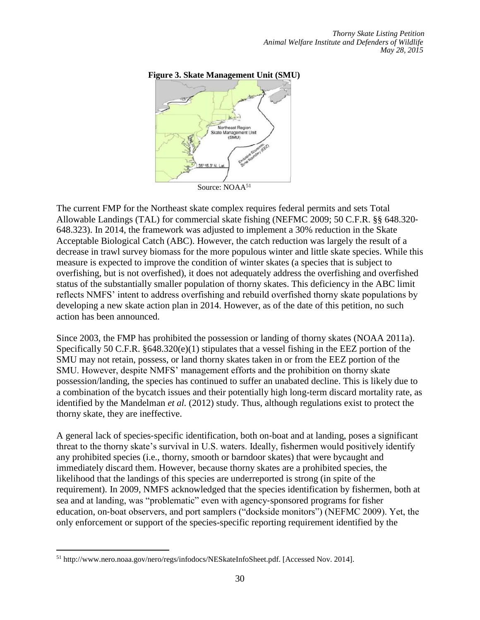#### **Figure 3. Skate Management Unit (SMU)**



The current FMP for the Northeast skate complex requires federal permits and sets Total Allowable Landings (TAL) for commercial skate fishing (NEFMC 2009; 50 C.F.R. §§ 648.320‐ 648.323). In 2014, the framework was adjusted to implement a 30% reduction in the Skate Acceptable Biological Catch (ABC). However, the catch reduction was largely the result of a decrease in trawl survey biomass for the more populous winter and little skate species. While this measure is expected to improve the condition of winter skates (a species that is subject to overfishing, but is not overfished), it does not adequately address the overfishing and overfished status of the substantially smaller population of thorny skates. This deficiency in the ABC limit reflects NMFS' intent to address overfishing and rebuild overfished thorny skate populations by developing a new skate action plan in 2014. However, as of the date of this petition, no such action has been announced.

Since 2003, the FMP has prohibited the possession or landing of thorny skates (NOAA 2011a). Specifically 50 C.F.R. §648.320(e)(1) stipulates that a vessel fishing in the EEZ portion of the SMU may not retain, possess, or land thorny skates taken in or from the EEZ portion of the SMU. However, despite NMFS' management efforts and the prohibition on thorny skate possession/landing, the species has continued to suffer an unabated decline. This is likely due to a combination of the bycatch issues and their potentially high long-term discard mortality rate, as identified by the Mandelman *et al.* (2012) study. Thus, although regulations exist to protect the thorny skate, they are ineffective.

A general lack of species‐specific identification, both on‐boat and at landing, poses a significant threat to the thorny skate's survival in U.S. waters. Ideally, fishermen would positively identify any prohibited species (i.e., thorny, smooth or barndoor skates) that were bycaught and immediately discard them. However, because thorny skates are a prohibited species, the likelihood that the landings of this species are underreported is strong (in spite of the requirement). In 2009, NMFS acknowledged that the species identification by fishermen, both at sea and at landing, was "problematic" even with agency‐sponsored programs for fisher education, on‐boat observers, and port samplers ("dockside monitors") (NEFMC 2009). Yet, the only enforcement or support of the species-specific reporting requirement identified by the

<sup>51</sup> http://www.nero.noaa.gov/nero/regs/infodocs/NESkateInfoSheet.pdf. [Accessed Nov. 2014].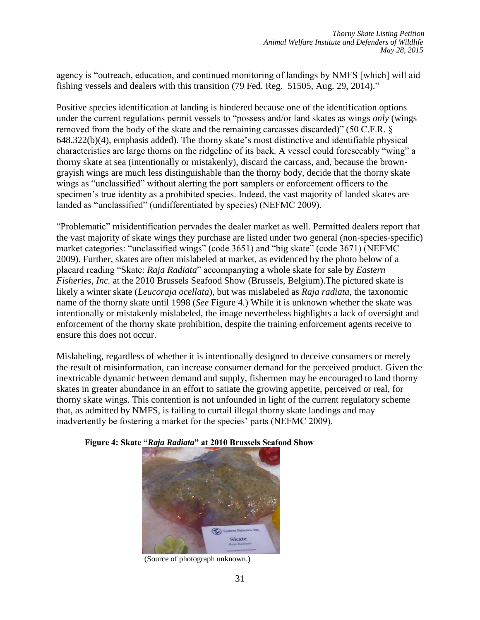agency is "outreach, education, and continued monitoring of landings by NMFS [which] will aid fishing vessels and dealers with this transition (79 Fed. Reg. 51505, Aug. 29, 2014)."

Positive species identification at landing is hindered because one of the identification options under the current regulations permit vessels to "possess and/or land skates as wings *only* (wings removed from the body of the skate and the remaining carcasses discarded)" (50 C.F.R. § 648.322(b)(4), emphasis added). The thorny skate's most distinctive and identifiable physical characteristics are large thorns on the ridgeline of its back. A vessel could foreseeably "wing" a thorny skate at sea (intentionally or mistakenly), discard the carcass, and, because the brown‐ grayish wings are much less distinguishable than the thorny body, decide that the thorny skate wings as "unclassified" without alerting the port samplers or enforcement officers to the specimen's true identity as a prohibited species. Indeed, the vast majority of landed skates are landed as "unclassified" (undifferentiated by species) (NEFMC 2009).

"Problematic" misidentification pervades the dealer market as well. Permitted dealers report that the vast majority of skate wings they purchase are listed under two general (non‐species‐specific) market categories: "unclassified wings" (code 3651) and "big skate" (code 3671) (NEFMC 2009). Further, skates are often mislabeled at market, as evidenced by the photo below of a placard reading "Skate: *Raja Radiata*" accompanying a whole skate for sale by *Eastern Fisheries, Inc.* at the 2010 Brussels Seafood Show (Brussels, Belgium).The pictured skate is likely a winter skate (*Leucoraja ocellata*), but was mislabeled as *Raja radiata*, the taxonomic name of the thorny skate until 1998 (*See* Figure 4.) While it is unknown whether the skate was intentionally or mistakenly mislabeled, the image nevertheless highlights a lack of oversight and enforcement of the thorny skate prohibition, despite the training enforcement agents receive to ensure this does not occur.

Mislabeling, regardless of whether it is intentionally designed to deceive consumers or merely the result of misinformation, can increase consumer demand for the perceived product. Given the inextricable dynamic between demand and supply, fishermen may be encouraged to land thorny skates in greater abundance in an effort to satiate the growing appetite, perceived or real, for thorny skate wings. This contention is not unfounded in light of the current regulatory scheme that, as admitted by NMFS, is failing to curtail illegal thorny skate landings and may inadvertently be fostering a market for the species' parts (NEFMC 2009).



#### **Figure 4: Skate "***Raja Radiata***" at 2010 Brussels Seafood Show**

(Source of photograph unknown.)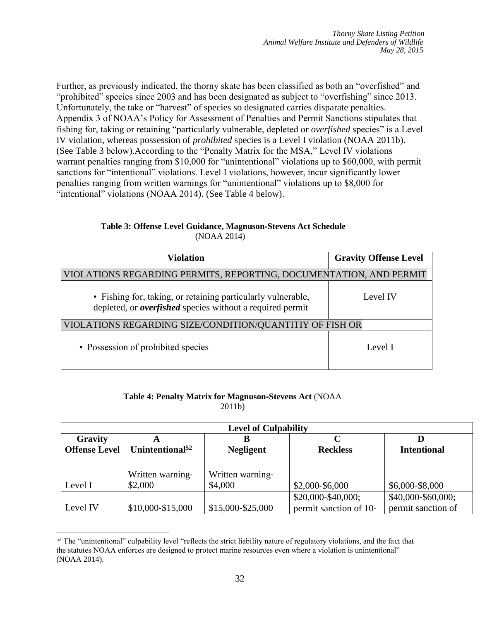Further, as previously indicated, the thorny skate has been classified as both an "overfished" and "prohibited" species since 2003 and has been designated as subject to "overfishing" since 2013. Unfortunately, the take or "harvest" of species so designated carries disparate penalties. Appendix 3 of NOAA's Policy for Assessment of Penalties and Permit Sanctions stipulates that fishing for, taking or retaining "particularly vulnerable, depleted or *overfished* species" is a Level IV violation, whereas possession of *prohibited* species is a Level I violation (NOAA 2011b). (See Table 3 below).According to the "Penalty Matrix for the MSA," Level IV violations warrant penalties ranging from \$10,000 for "unintentional" violations up to \$60,000, with permit sanctions for "intentional" violations. Level I violations, however, incur significantly lower penalties ranging from written warnings for "unintentional" violations up to \$8,000 for "intentional" violations (NOAA 2014). (See Table 4 below).

|             | Table 3: Offense Level Guidance, Magnuson-Stevens Act Schedule |
|-------------|----------------------------------------------------------------|
| (NOAA 2014) |                                                                |

| Violation                                                                                                                        | <b>Gravity Offense Level</b> |  |  |
|----------------------------------------------------------------------------------------------------------------------------------|------------------------------|--|--|
| VIOLATIONS REGARDING PERMITS, REPORTING, DOCUMENTATION, AND PERMIT                                                               |                              |  |  |
| • Fishing for, taking, or retaining particularly vulnerable,<br>depleted, or <i>overfished</i> species without a required permit | Level IV                     |  |  |
| VIOLATIONS REGARDING SIZE/CONDITION/QUANTITIY OF FISH OR                                                                         |                              |  |  |
| • Possession of prohibited species                                                                                               | Level I                      |  |  |

#### **Table 4: Penalty Matrix for Magnuson**‐**Stevens Act** (NOAA 2011b)

|                      | <b>Level of Culpability</b> |                   |                        |                    |  |
|----------------------|-----------------------------|-------------------|------------------------|--------------------|--|
| Gravity              |                             |                   |                        |                    |  |
| <b>Offense Level</b> | Unintentional <sup>52</sup> | <b>Negligent</b>  | <b>Reckless</b>        | <b>Intentional</b> |  |
|                      |                             |                   |                        |                    |  |
|                      | Written warning-            | Written warning-  |                        |                    |  |
| Level I              | \$2,000                     | \$4,000           | \$2,000-\$6,000        | \$6,000-\$8,000    |  |
|                      |                             |                   | \$20,000-\$40,000;     | \$40,000-\$60,000; |  |
| Level IV             | \$10,000-\$15,000           | \$15,000-\$25,000 | permit sanction of 10- | permit sanction of |  |

 $\overline{a}$  $52$  The "unintentional" culpability level "reflects the strict liability nature of regulatory violations, and the fact that the statutes NOAA enforces are designed to protect marine resources even where a violation is unintentional" (NOAA 2014).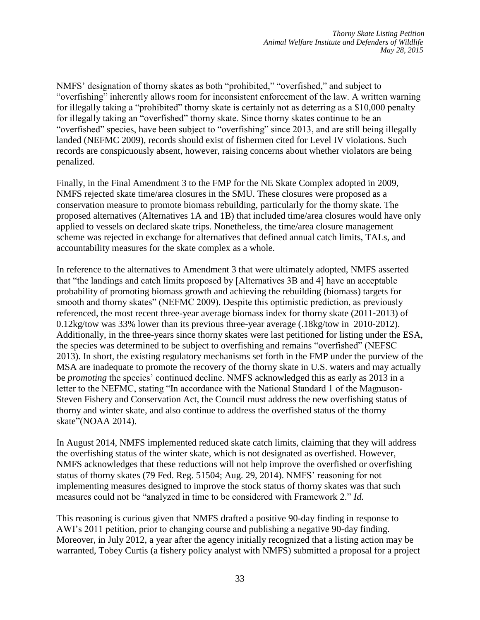NMFS' designation of thorny skates as both "prohibited," "overfished," and subject to "overfishing" inherently allows room for inconsistent enforcement of the law. A written warning for illegally taking a "prohibited" thorny skate is certainly not as deterring as a \$10,000 penalty for illegally taking an "overfished" thorny skate. Since thorny skates continue to be an "overfished" species, have been subject to "overfishing" since 2013, and are still being illegally landed (NEFMC 2009), records should exist of fishermen cited for Level IV violations. Such records are conspicuously absent, however, raising concerns about whether violators are being penalized.

Finally, in the Final Amendment 3 to the FMP for the NE Skate Complex adopted in 2009, NMFS rejected skate time/area closures in the SMU. These closures were proposed as a conservation measure to promote biomass rebuilding, particularly for the thorny skate. The proposed alternatives (Alternatives 1A and 1B) that included time/area closures would have only applied to vessels on declared skate trips. Nonetheless, the time/area closure management scheme was rejected in exchange for alternatives that defined annual catch limits, TALs, and accountability measures for the skate complex as a whole.

In reference to the alternatives to Amendment 3 that were ultimately adopted, NMFS asserted that "the landings and catch limits proposed by [Alternatives 3B and 4] have an acceptable probability of promoting biomass growth and achieving the rebuilding (biomass) targets for smooth and thorny skates" (NEFMC 2009). Despite this optimistic prediction, as previously referenced, the most recent three-year average biomass index for thorny skate (2011‐2013) of 0.12kg/tow was 33% lower than its previous three-year average (.18kg/tow in 2010-2012). Additionally, in the three-years since thorny skates were last petitioned for listing under the ESA, the species was determined to be subject to overfishing and remains "overfished" (NEFSC 2013). In short, the existing regulatory mechanisms set forth in the FMP under the purview of the MSA are inadequate to promote the recovery of the thorny skate in U.S. waters and may actually be *promoting* the species' continued decline. NMFS acknowledged this as early as 2013 in a letter to the NEFMC, stating "In accordance with the National Standard 1 of the Magnuson-Steven Fishery and Conservation Act, the Council must address the new overfishing status of thorny and winter skate, and also continue to address the overfished status of the thorny skate"(NOAA 2014).

In August 2014, NMFS implemented reduced skate catch limits, claiming that they will address the overfishing status of the winter skate, which is not designated as overfished. However, NMFS acknowledges that these reductions will not help improve the overfished or overfishing status of thorny skates (79 Fed. Reg. 51504; Aug. 29, 2014). NMFS' reasoning for not implementing measures designed to improve the stock status of thorny skates was that such measures could not be "analyzed in time to be considered with Framework 2." *Id.*

This reasoning is curious given that NMFS drafted a positive 90-day finding in response to AWI's 2011 petition, prior to changing course and publishing a negative 90-day finding. Moreover, in July 2012, a year after the agency initially recognized that a listing action may be warranted, Tobey Curtis (a fishery policy analyst with NMFS) submitted a proposal for a project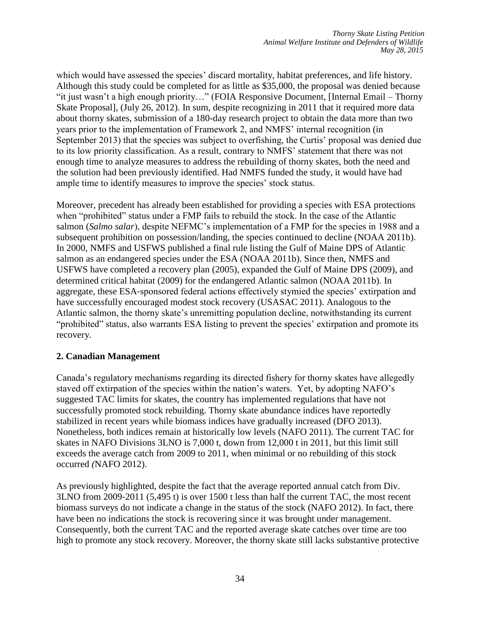which would have assessed the species' discard mortality, habitat preferences, and life history. Although this study could be completed for as little as \$35,000, the proposal was denied because "it just wasn't a high enough priority…" (FOIA Responsive Document, [Internal Email – Thorny Skate Proposal], (July 26, 2012). In sum, despite recognizing in 2011 that it required more data about thorny skates, submission of a 180-day research project to obtain the data more than two years prior to the implementation of Framework 2, and NMFS' internal recognition (in September 2013) that the species was subject to overfishing, the Curtis' proposal was denied due to its low priority classification. As a result, contrary to NMFS' statement that there was not enough time to analyze measures to address the rebuilding of thorny skates, both the need and the solution had been previously identified. Had NMFS funded the study, it would have had ample time to identify measures to improve the species' stock status.

Moreover, precedent has already been established for providing a species with ESA protections when "prohibited" status under a FMP fails to rebuild the stock. In the case of the Atlantic salmon (*Salmo salar*), despite NEFMC's implementation of a FMP for the species in 1988 and a subsequent prohibition on possession/landing, the species continued to decline (NOAA 2011b). In 2000, NMFS and USFWS published a final rule listing the Gulf of Maine DPS of Atlantic salmon as an endangered species under the ESA (NOAA 2011b). Since then, NMFS and USFWS have completed a recovery plan (2005), expanded the Gulf of Maine DPS (2009), and determined critical habitat (2009) for the endangered Atlantic salmon (NOAA 2011b). In aggregate, these ESA‐sponsored federal actions effectively stymied the species' extirpation and have successfully encouraged modest stock recovery (USASAC 2011). Analogous to the Atlantic salmon, the thorny skate's unremitting population decline, notwithstanding its current "prohibited" status, also warrants ESA listing to prevent the species' extirpation and promote its recovery.

### **2. Canadian Management**

Canada's regulatory mechanisms regarding its directed fishery for thorny skates have allegedly staved off extirpation of the species within the nation's waters. Yet, by adopting NAFO's suggested TAC limits for skates, the country has implemented regulations that have not successfully promoted stock rebuilding. Thorny skate abundance indices have reportedly stabilized in recent years while biomass indices have gradually increased (DFO 2013). Nonetheless, both indices remain at historically low levels (NAFO 2011). The current TAC for skates in NAFO Divisions 3LNO is 7,000 t, down from 12,000 t in 2011, but this limit still exceeds the average catch from 2009 to 2011, when minimal or no rebuilding of this stock occurred *(*NAFO 2012).

As previously highlighted, despite the fact that the average reported annual catch from Div. 3LNO from 2009‐2011 (5,495 t) is over 1500 t less than half the current TAC, the most recent biomass surveys do not indicate a change in the status of the stock (NAFO 2012). In fact, there have been no indications the stock is recovering since it was brought under management. Consequently, both the current TAC and the reported average skate catches over time are too high to promote any stock recovery. Moreover, the thorny skate still lacks substantive protective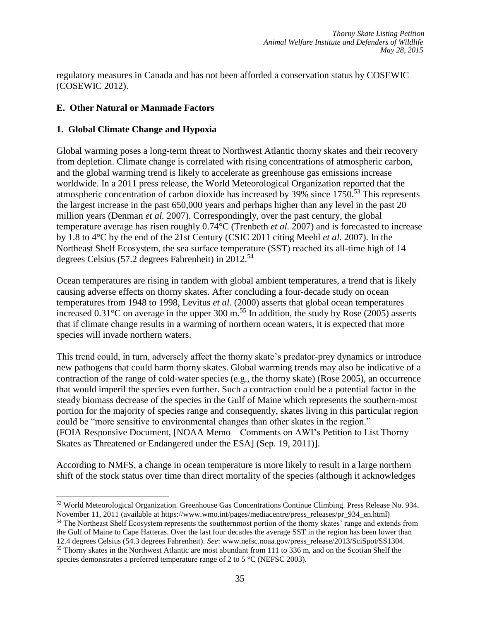regulatory measures in Canada and has not been afforded a conservation status by COSEWIC (COSEWIC 2012).

### **E. Other Natural or Manmade Factors**

### **1. Global Climate Change and Hypoxia**

 $\overline{a}$ 

Global warming poses a long‐term threat to Northwest Atlantic thorny skates and their recovery from depletion. Climate change is correlated with rising concentrations of atmospheric carbon, and the global warming trend is likely to accelerate as greenhouse gas emissions increase worldwide. In a 2011 press release, the World Meteorological Organization reported that the atmospheric concentration of carbon dioxide has increased by 39% since 1750. <sup>53</sup> This represents the largest increase in the past 650,000 years and perhaps higher than any level in the past 20 million years (Denman *et al.* 2007). Correspondingly, over the past century, the global temperature average has risen roughly 0.74°C (Trenbeth *et al.* 2007) and is forecasted to increase by 1.8 to 4°C by the end of the 21st Century (CSIC 2011 citing Meehl *et al.* 2007). In the Northeast Shelf Ecosystem, the sea surface temperature (SST) reached its all-time high of 14 degrees Celsius (57.2 degrees Fahrenheit) in 2012.<sup>54</sup>

Ocean temperatures are rising in tandem with global ambient temperatures, a trend that is likely causing adverse effects on thorny skates. After concluding a four‐decade study on ocean temperatures from 1948 to 1998, Levitus *et al.* (2000) asserts that global ocean temperatures increased  $0.31^{\circ}$ C on average in the upper 300 m.<sup>55</sup> In addition, the study by Rose (2005) asserts that if climate change results in a warming of northern ocean waters, it is expected that more species will invade northern waters.

This trend could, in turn, adversely affect the thorny skate's predator‐prey dynamics or introduce new pathogens that could harm thorny skates. Global warming trends may also be indicative of a contraction of the range of cold‐water species (e.g., the thorny skate) (Rose 2005), an occurrence that would imperil the species even further. Such a contraction could be a potential factor in the steady biomass decrease of the species in the Gulf of Maine which represents the southern-most portion for the majority of species range and consequently, skates living in this particular region could be "more sensitive to environmental changes than other skates in the region." (FOIA Responsive Document, [NOAA Memo – Comments on AWI's Petition to List Thorny Skates as Threatened or Endangered under the ESA] (Sep. 19, 2011)].

According to NMFS, a change in ocean temperature is more likely to result in a large northern shift of the stock status over time than direct mortality of the species (although it acknowledges

<sup>53</sup> World Meteorological Organization. Greenhouse Gas Concentrations Continue Climbing. Press Release No. 934. November 11, 2011 (available at https://www.wmo.int/pages/mediacentre/press\_releases/pr\_934\_en.html)

<sup>54</sup> The Northeast Shelf Ecosystem represents the southernmost portion of the thorny skates' range and extends from the Gulf of Maine to Cape Hatteras. Over the last four decades the average SST in the region has been lower than 12.4 degrees Celsius (54.3 degrees Fahrenheit). *See*: www.nefsc.noaa.gov/press\_release/2013/SciSpot/SS1304. <sup>55</sup> Thorny skates in the Northwest Atlantic are most abundant from 111 to 336 m, and on the Scotian Shelf the species demonstrates a preferred temperature range of 2 to 5 °C (NEFSC 2003).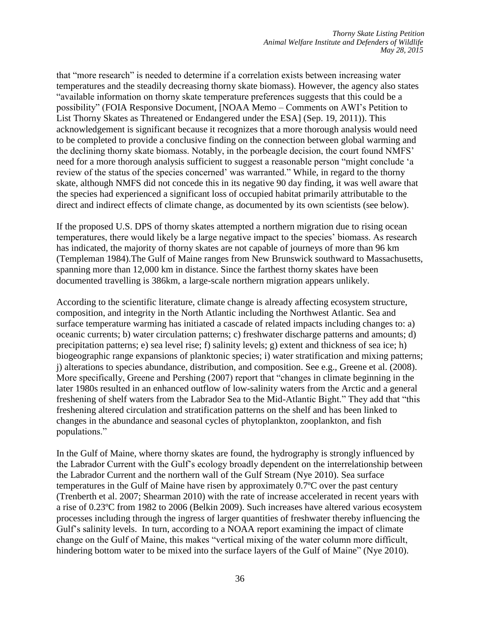that "more research" is needed to determine if a correlation exists between increasing water temperatures and the steadily decreasing thorny skate biomass). However, the agency also states "available information on thorny skate temperature preferences suggests that this could be a possibility" (FOIA Responsive Document, [NOAA Memo – Comments on AWI's Petition to List Thorny Skates as Threatened or Endangered under the ESA] (Sep. 19, 2011)). This acknowledgement is significant because it recognizes that a more thorough analysis would need to be completed to provide a conclusive finding on the connection between global warming and the declining thorny skate biomass. Notably, in the porbeagle decision, the court found NMFS' need for a more thorough analysis sufficient to suggest a reasonable person "might conclude 'a review of the status of the species concerned' was warranted." While, in regard to the thorny skate, although NMFS did not concede this in its negative 90 day finding, it was well aware that the species had experienced a significant loss of occupied habitat primarily attributable to the direct and indirect effects of climate change, as documented by its own scientists (see below).

If the proposed U.S. DPS of thorny skates attempted a northern migration due to rising ocean temperatures, there would likely be a large negative impact to the species' biomass. As research has indicated, the majority of thorny skates are not capable of journeys of more than 96 km (Templeman 1984).The Gulf of Maine ranges from New Brunswick southward to Massachusetts, spanning more than 12,000 km in distance. Since the farthest thorny skates have been documented travelling is 386km, a large-scale northern migration appears unlikely.

According to the scientific literature, climate change is already affecting ecosystem structure, composition, and integrity in the North Atlantic including the Northwest Atlantic. Sea and surface temperature warming has initiated a cascade of related impacts including changes to: a) oceanic currents; b) water circulation patterns; c) freshwater discharge patterns and amounts; d) precipitation patterns; e) sea level rise; f) salinity levels; g) extent and thickness of sea ice; h) biogeographic range expansions of planktonic species; i) water stratification and mixing patterns; j) alterations to species abundance, distribution, and composition. See e.g., Greene et al. (2008). More specifically, Greene and Pershing (2007) report that "changes in climate beginning in the later 1980s resulted in an enhanced outflow of low-salinity waters from the Arctic and a general freshening of shelf waters from the Labrador Sea to the Mid-Atlantic Bight." They add that "this freshening altered circulation and stratification patterns on the shelf and has been linked to changes in the abundance and seasonal cycles of phytoplankton, zooplankton, and fish populations."

In the Gulf of Maine, where thorny skates are found, the hydrography is strongly influenced by the Labrador Current with the Gulf's ecology broadly dependent on the interrelationship between the Labrador Current and the northern wall of the Gulf Stream (Nye 2010). Sea surface temperatures in the Gulf of Maine have risen by approximately 0.7ºC over the past century (Trenberth et al. 2007; Shearman 2010) with the rate of increase accelerated in recent years with a rise of 0.23ºC from 1982 to 2006 (Belkin 2009). Such increases have altered various ecosystem processes including through the ingress of larger quantities of freshwater thereby influencing the Gulf's salinity levels. In turn, according to a NOAA report examining the impact of climate change on the Gulf of Maine, this makes "vertical mixing of the water column more difficult, hindering bottom water to be mixed into the surface layers of the Gulf of Maine" (Nye 2010).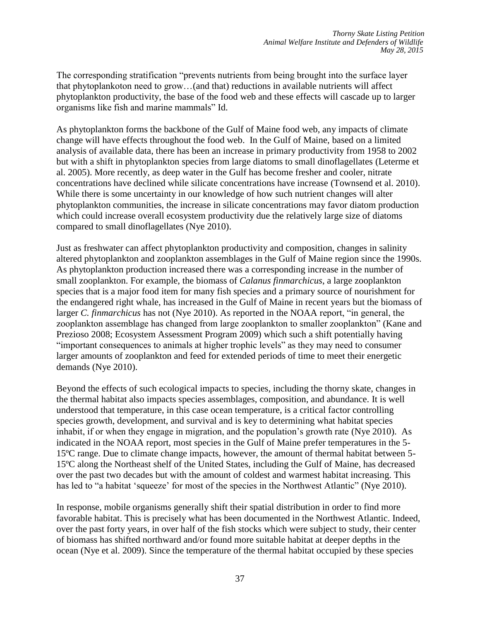The corresponding stratification "prevents nutrients from being brought into the surface layer that phytoplankoton need to grow…(and that) reductions in available nutrients will affect phytoplankton productivity, the base of the food web and these effects will cascade up to larger organisms like fish and marine mammals" Id.

As phytoplankton forms the backbone of the Gulf of Maine food web, any impacts of climate change will have effects throughout the food web. In the Gulf of Maine, based on a limited analysis of available data, there has been an increase in primary productivity from 1958 to 2002 but with a shift in phytoplankton species from large diatoms to small dinoflagellates (Leterme et al. 2005). More recently, as deep water in the Gulf has become fresher and cooler, nitrate concentrations have declined while silicate concentrations have increase (Townsend et al. 2010). While there is some uncertainty in our knowledge of how such nutrient changes will alter phytoplankton communities, the increase in silicate concentrations may favor diatom production which could increase overall ecosystem productivity due the relatively large size of diatoms compared to small dinoflagellates (Nye 2010).

Just as freshwater can affect phytoplankton productivity and composition, changes in salinity altered phytoplankton and zooplankton assemblages in the Gulf of Maine region since the 1990s. As phytoplankton production increased there was a corresponding increase in the number of small zooplankton. For example, the biomass of *Calanus finmarchicus*, a large zooplankton species that is a major food item for many fish species and a primary source of nourishment for the endangered right whale, has increased in the Gulf of Maine in recent years but the biomass of larger *C. finmarchicus* has not (Nye 2010). As reported in the NOAA report, "in general, the zooplankton assemblage has changed from large zooplankton to smaller zooplankton" (Kane and Prezioso 2008; Ecosystem Assessment Program 2009) which such a shift potentially having "important consequences to animals at higher trophic levels" as they may need to consumer larger amounts of zooplankton and feed for extended periods of time to meet their energetic demands (Nye 2010).

Beyond the effects of such ecological impacts to species, including the thorny skate, changes in the thermal habitat also impacts species assemblages, composition, and abundance. It is well understood that temperature, in this case ocean temperature, is a critical factor controlling species growth, development, and survival and is key to determining what habitat species inhabit, if or when they engage in migration, and the population's growth rate (Nye 2010). As indicated in the NOAA report, most species in the Gulf of Maine prefer temperatures in the 5- 15ºC range. Due to climate change impacts, however, the amount of thermal habitat between 5- 15ºC along the Northeast shelf of the United States, including the Gulf of Maine, has decreased over the past two decades but with the amount of coldest and warmest habitat increasing. This has led to "a habitat 'squeeze' for most of the species in the Northwest Atlantic" (Nye 2010).

In response, mobile organisms generally shift their spatial distribution in order to find more favorable habitat. This is precisely what has been documented in the Northwest Atlantic. Indeed, over the past forty years, in over half of the fish stocks which were subject to study, their center of biomass has shifted northward and/or found more suitable habitat at deeper depths in the ocean (Nye et al. 2009). Since the temperature of the thermal habitat occupied by these species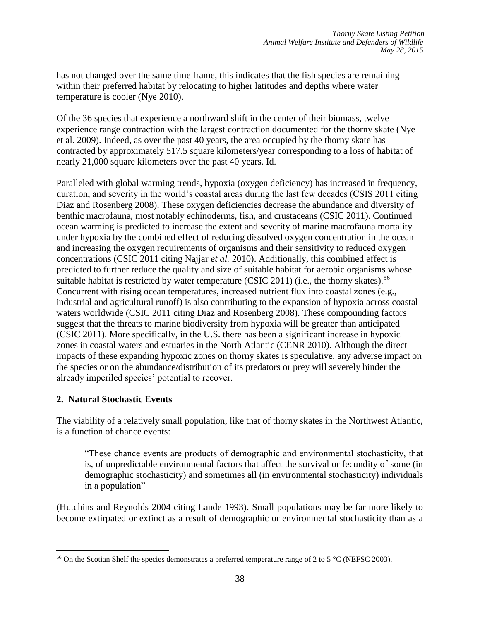has not changed over the same time frame, this indicates that the fish species are remaining within their preferred habitat by relocating to higher latitudes and depths where water temperature is cooler (Nye 2010).

Of the 36 species that experience a northward shift in the center of their biomass, twelve experience range contraction with the largest contraction documented for the thorny skate (Nye et al. 2009). Indeed, as over the past 40 years, the area occupied by the thorny skate has contracted by approximately 517.5 square kilometers/year corresponding to a loss of habitat of nearly 21,000 square kilometers over the past 40 years. Id.

Paralleled with global warming trends, hypoxia (oxygen deficiency) has increased in frequency, duration, and severity in the world's coastal areas during the last few decades (CSIS 2011 citing Diaz and Rosenberg 2008). These oxygen deficiencies decrease the abundance and diversity of benthic macrofauna, most notably echinoderms, fish, and crustaceans (CSIC 2011). Continued ocean warming is predicted to increase the extent and severity of marine macrofauna mortality under hypoxia by the combined effect of reducing dissolved oxygen concentration in the ocean and increasing the oxygen requirements of organisms and their sensitivity to reduced oxygen concentrations (CSIC 2011 citing Najjar *et al.* 2010). Additionally, this combined effect is predicted to further reduce the quality and size of suitable habitat for aerobic organisms whose suitable habitat is restricted by water temperature (CSIC 2011) (i.e., the thorny skates).<sup>56</sup> Concurrent with rising ocean temperatures, increased nutrient flux into coastal zones (e.g., industrial and agricultural runoff) is also contributing to the expansion of hypoxia across coastal waters worldwide (CSIC 2011 citing Diaz and Rosenberg 2008). These compounding factors suggest that the threats to marine biodiversity from hypoxia will be greater than anticipated (CSIC 2011). More specifically, in the U.S. there has been a significant increase in hypoxic zones in coastal waters and estuaries in the North Atlantic (CENR 2010). Although the direct impacts of these expanding hypoxic zones on thorny skates is speculative, any adverse impact on the species or on the abundance/distribution of its predators or prey will severely hinder the already imperiled species' potential to recover.

### **2. Natural Stochastic Events**

The viability of a relatively small population, like that of thorny skates in the Northwest Atlantic, is a function of chance events:

"These chance events are products of demographic and environmental stochasticity, that is, of unpredictable environmental factors that affect the survival or fecundity of some (in demographic stochasticity) and sometimes all (in environmental stochasticity) individuals in a population"

(Hutchins and Reynolds 2004 citing Lande 1993). Small populations may be far more likely to become extirpated or extinct as a result of demographic or environmental stochasticity than as a

 $\overline{a}$ <sup>56</sup> On the Scotian Shelf the species demonstrates a preferred temperature range of 2 to 5 °C (NEFSC 2003).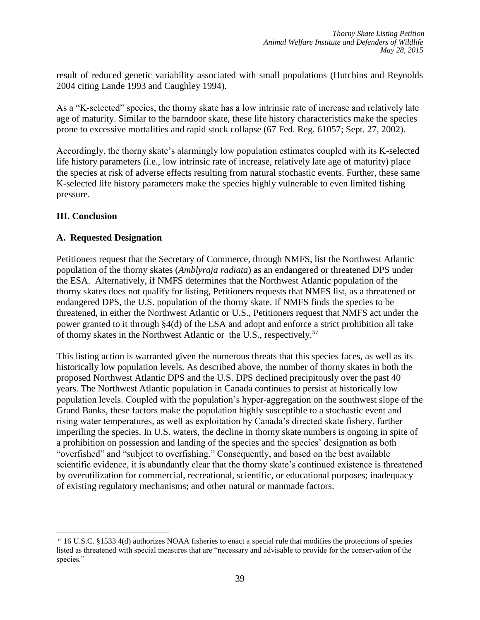result of reduced genetic variability associated with small populations (Hutchins and Reynolds 2004 citing Lande 1993 and Caughley 1994).

As a "K‐selected" species, the thorny skate has a low intrinsic rate of increase and relatively late age of maturity. Similar to the barndoor skate, these life history characteristics make the species prone to excessive mortalities and rapid stock collapse (67 Fed. Reg. 61057; Sept. 27, 2002).

Accordingly, the thorny skate's alarmingly low population estimates coupled with its K-selected life history parameters (i.e., low intrinsic rate of increase, relatively late age of maturity) place the species at risk of adverse effects resulting from natural stochastic events. Further, these same K-selected life history parameters make the species highly vulnerable to even limited fishing pressure.

### **III. Conclusion**

 $\overline{a}$ 

### **A. Requested Designation**

Petitioners request that the Secretary of Commerce, through NMFS, list the Northwest Atlantic population of the thorny skates (*Amblyraja radiata*) as an endangered or threatened DPS under the ESA. Alternatively, if NMFS determines that the Northwest Atlantic population of the thorny skates does not qualify for listing, Petitioners requests that NMFS list, as a threatened or endangered DPS, the U.S. population of the thorny skate. If NMFS finds the species to be threatened, in either the Northwest Atlantic or U.S., Petitioners request that NMFS act under the power granted to it through §4(d) of the ESA and adopt and enforce a strict prohibition all take of thorny skates in the Northwest Atlantic or the U.S., respectively.<sup>57</sup>

This listing action is warranted given the numerous threats that this species faces, as well as its historically low population levels. As described above, the number of thorny skates in both the proposed Northwest Atlantic DPS and the U.S. DPS declined precipitously over the past 40 years. The Northwest Atlantic population in Canada continues to persist at historically low population levels. Coupled with the population's hyper‐aggregation on the southwest slope of the Grand Banks, these factors make the population highly susceptible to a stochastic event and rising water temperatures, as well as exploitation by Canada's directed skate fishery, further imperiling the species. In U.S. waters, the decline in thorny skate numbers is ongoing in spite of a prohibition on possession and landing of the species and the species' designation as both "overfished" and "subject to overfishing." Consequently, and based on the best available scientific evidence, it is abundantly clear that the thorny skate's continued existence is threatened by overutilization for commercial, recreational, scientific, or educational purposes; inadequacy of existing regulatory mechanisms; and other natural or manmade factors.

<sup>57</sup> 16 U.S.C. §1533 4(d) authorizes NOAA fisheries to enact a special rule that modifies the protections of species listed as threatened with special measures that are "necessary and advisable to provide for the conservation of the species."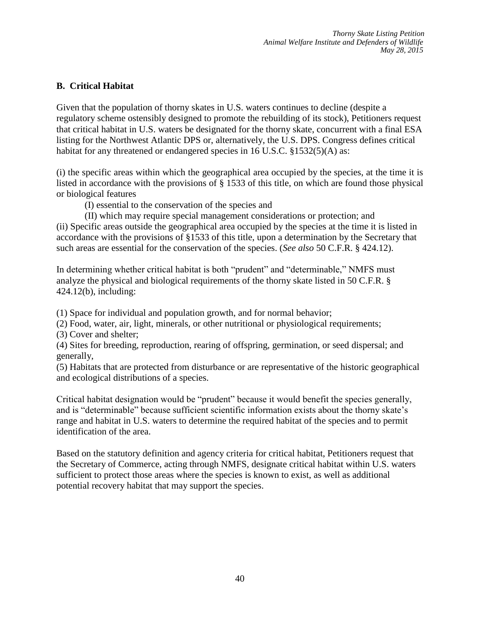## **B. Critical Habitat**

Given that the population of thorny skates in U.S. waters continues to decline (despite a regulatory scheme ostensibly designed to promote the rebuilding of its stock), Petitioners request that critical habitat in U.S. waters be designated for the thorny skate, concurrent with a final ESA listing for the Northwest Atlantic DPS or, alternatively, the U.S. DPS. Congress defines critical habitat for any threatened or endangered species in 16 U.S.C. §1532(5)(A) as:

(i) the specific areas within which the geographical area occupied by the species, at the time it is listed in accordance with the provisions of § 1533 of this title, on which are found those physical or biological features

(I) essential to the conservation of the species and

(II) which may require special management considerations or protection; and

(ii) Specific areas outside the geographical area occupied by the species at the time it is listed in accordance with the provisions of §1533 of this title, upon a determination by the Secretary that such areas are essential for the conservation of the species. (*See also* 50 C.F.R. § 424.12).

In determining whether critical habitat is both "prudent" and "determinable," NMFS must analyze the physical and biological requirements of the thorny skate listed in 50 C.F.R. § 424.12(b), including:

(1) Space for individual and population growth, and for normal behavior;

(2) Food, water, air, light, minerals, or other nutritional or physiological requirements;

(3) Cover and shelter;

(4) Sites for breeding, reproduction, rearing of offspring, germination, or seed dispersal; and generally,

(5) Habitats that are protected from disturbance or are representative of the historic geographical and ecological distributions of a species.

Critical habitat designation would be "prudent" because it would benefit the species generally, and is "determinable" because sufficient scientific information exists about the thorny skate's range and habitat in U.S. waters to determine the required habitat of the species and to permit identification of the area.

Based on the statutory definition and agency criteria for critical habitat, Petitioners request that the Secretary of Commerce, acting through NMFS, designate critical habitat within U.S. waters sufficient to protect those areas where the species is known to exist, as well as additional potential recovery habitat that may support the species.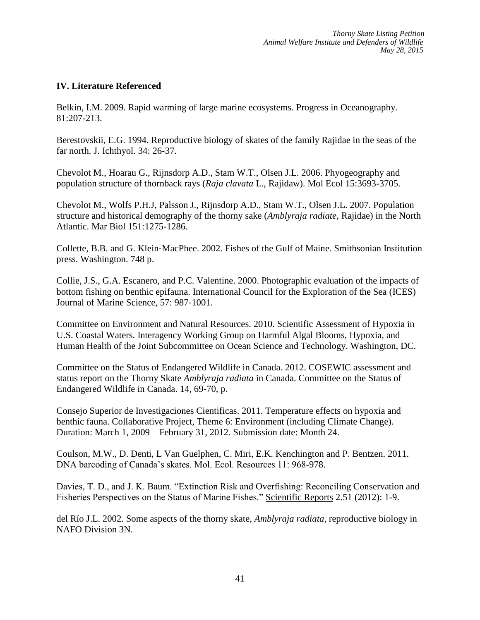### **IV. Literature Referenced**

Belkin, I.M. 2009. Rapid warming of large marine ecosystems. Progress in Oceanography. 81:207-213.

Berestovskii, E.G. 1994. Reproductive biology of skates of the family Rajidae in the seas of the far north. J. Ichthyol. 34: 26‐37.

Chevolot M., Hoarau G., Rijnsdorp A.D., Stam W.T., Olsen J.L. 2006. Phyogeography and population structure of thornback rays (*Raja clavata* L., Rajidaw). Mol Ecol 15:3693-3705.

Chevolot M., Wolfs P.H.J, Palsson J., Rijnsdorp A.D., Stam W.T., Olsen J.L. 2007. Population structure and historical demography of the thorny sake (*Amblyraja radiate*, Rajidae) in the North Atlantic. Mar Biol 151:1275-1286.

Collette, B.B. and G. Klein‐MacPhee. 2002. Fishes of the Gulf of Maine. Smithsonian Institution press. Washington. 748 p.

Collie, J.S., G.A. Escanero, and P.C. Valentine. 2000. Photographic evaluation of the impacts of bottom fishing on benthic epifauna. International Council for the Exploration of the Sea (ICES) Journal of Marine Science, 57: 987‐1001.

Committee on Environment and Natural Resources. 2010. Scientific Assessment of Hypoxia in U.S. Coastal Waters. Interagency Working Group on Harmful Algal Blooms, Hypoxia, and Human Health of the Joint Subcommittee on Ocean Science and Technology. Washington, DC.

Committee on the Status of Endangered Wildlife in Canada. 2012. COSEWIC assessment and status report on the Thorny Skate *Amblyraja radiata* in Canada. Committee on the Status of Endangered Wildlife in Canada. 14, 69-70, p.

Consejo Superior de Investigaciones Cientificas. 2011. Temperature effects on hypoxia and benthic fauna. Collaborative Project, Theme 6: Environment (including Climate Change). Duration: March 1, 2009 – February 31, 2012. Submission date: Month 24.

Coulson, M.W., D. Denti, L Van Guelphen, C. Miri, E.K. Kenchington and P. Bentzen. 2011. DNA barcoding of Canada's skates. Mol. Ecol. Resources 11: 968-978.

Davies, T. D., and J. K. Baum. "Extinction Risk and Overfishing: Reconciling Conservation and Fisheries Perspectives on the Status of Marine Fishes." Scientific Reports 2.51 (2012): 1-9.

del Río J.L. 2002. Some aspects of the thorny skate, *Amblyraja radiata*, reproductive biology in NAFO Division 3N.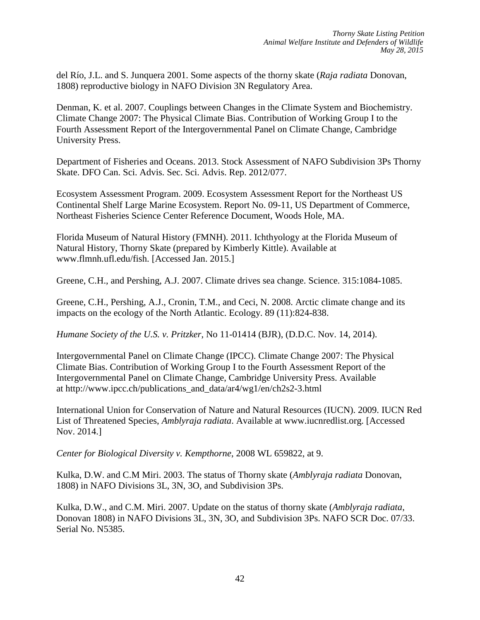del Río, J.L. and S. Junquera 2001. Some aspects of the thorny skate (*Raja radiata* Donovan, 1808) reproductive biology in NAFO Division 3N Regulatory Area.

Denman, K. et al. 2007. Couplings between Changes in the Climate System and Biochemistry. Climate Change 2007: The Physical Climate Bias. Contribution of Working Group I to the Fourth Assessment Report of the Intergovernmental Panel on Climate Change, Cambridge University Press.

Department of Fisheries and Oceans. 2013. Stock Assessment of NAFO Subdivision 3Ps Thorny Skate. DFO Can. Sci. Advis. Sec. Sci. Advis. Rep. 2012/077.

Ecosystem Assessment Program. 2009. Ecosystem Assessment Report for the Northeast US Continental Shelf Large Marine Ecosystem. Report No. 09-11, US Department of Commerce, Northeast Fisheries Science Center Reference Document, Woods Hole, MA.

Florida Museum of Natural History (FMNH). 2011. Ichthyology at the Florida Museum of Natural History, Thorny Skate (prepared by Kimberly Kittle). Available at www.flmnh.ufl.edu/fish. [Accessed Jan. 2015.]

Greene, C.H., and Pershing, A.J. 2007. Climate drives sea change. Science. 315:1084-1085.

Greene, C.H., Pershing, A.J., Cronin, T.M., and Ceci, N. 2008. Arctic climate change and its impacts on the ecology of the North Atlantic. Ecology. 89 (11):824-838.

*Humane Society of the U.S. v. Pritzker*, No 11-01414 (BJR), (D.D.C. Nov. 14, 2014).

Intergovernmental Panel on Climate Change (IPCC). Climate Change 2007: The Physical Climate Bias. Contribution of Working Group I to the Fourth Assessment Report of the Intergovernmental Panel on Climate Change, Cambridge University Press. Available at http://www.ipcc.ch/publications\_and\_data/ar4/wg1/en/ch2s2-3.html

International Union for Conservation of Nature and Natural Resources (IUCN). 2009. IUCN Red List of Threatened Species, *Amblyraja radiata*. Available at [www.iucnredlist.org. \[Accessed](http://www.iucnredlist.org/)  [Nov. 2014.\]](http://www.iucnredlist.org/)

*Center for Biological Diversity v. Kempthorne*, 2008 WL 659822, at 9.

Kulka, D.W. and C.M Miri. 2003. The status of Thorny skate (*Amblyraja radiata* Donovan, 1808) in NAFO Divisions 3L, 3N, 3O, and Subdivision 3Ps.

Kulka, D.W., and C.M. Miri. 2007. Update on the status of thorny skate (*Amblyraja radiata*, Donovan 1808) in NAFO Divisions 3L, 3N, 3O, and Subdivision 3Ps. NAFO SCR Doc. 07/33. Serial No. N5385.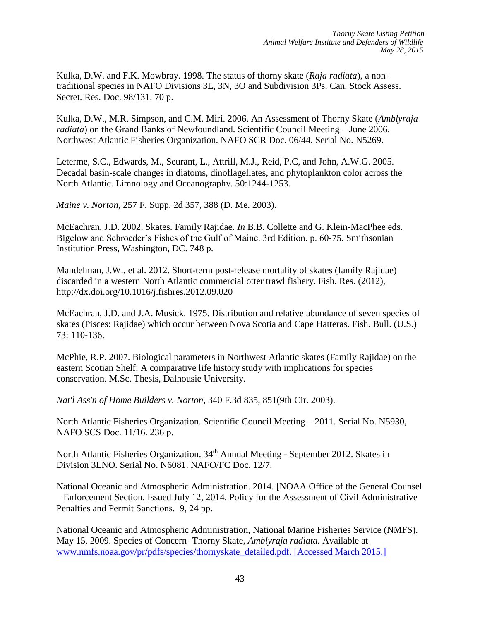Kulka, D.W. and F.K. Mowbray. 1998. The status of thorny skate (*Raja radiata*), a non‐ traditional species in NAFO Divisions 3L, 3N, 3O and Subdivision 3Ps. Can. Stock Assess. Secret. Res. Doc. 98/131. 70 p.

Kulka, D.W., M.R. Simpson, and C.M. Miri. 2006. An Assessment of Thorny Skate (*Amblyraja radiata*) on the Grand Banks of Newfoundland. Scientific Council Meeting – June 2006. Northwest Atlantic Fisheries Organization. NAFO SCR Doc. 06/44. Serial No. N5269.

Leterme, S.C., Edwards, M., Seurant, L., Attrill, M.J., Reid, P.C, and John, A.W.G. 2005. Decadal basin-scale changes in diatoms, dinoflagellates, and phytoplankton color across the North Atlantic. Limnology and Oceanography. 50:1244-1253.

*Maine v. Norton*, 257 F. Supp. 2d 357, 388 (D. Me. 2003).

McEachran, J.D. 2002. Skates. Family Rajidae. *In* B.B. Collette and G. Klein‐MacPhee eds. Bigelow and Schroeder's Fishes of the Gulf of Maine. 3rd Edition. p. 60‐75. Smithsonian Institution Press, Washington, DC. 748 p.

Mandelman, J.W., et al. 2012. Short-term post-release mortality of skates (family Rajidae) discarded in a western North Atlantic commercial otter trawl fishery. Fish. Res. (2012), http://dx.doi.org/10.1016/j.fishres.2012.09.020

McEachran, J.D. and J.A. Musick. 1975. Distribution and relative abundance of seven species of skates (Pisces: Rajidae) which occur between Nova Scotia and Cape Hatteras. Fish. Bull. (U.S.) 73: 110‐136.

McPhie, R.P. 2007. Biological parameters in Northwest Atlantic skates (Family Rajidae) on the eastern Scotian Shelf: A comparative life history study with implications for species conservation. M.Sc. Thesis, Dalhousie University.

*Nat'l Ass'n of Home Builders v. Norton*, 340 F.3d 835, 851(9th Cir. 2003).

North Atlantic Fisheries Organization. Scientific Council Meeting – 2011. Serial No. N5930, NAFO SCS Doc. 11/16. 236 p.

North Atlantic Fisheries Organization. 34<sup>th</sup> Annual Meeting - September 2012. Skates in Division 3LNO. Serial No. N6081. NAFO/FC Doc. 12/7.

National Oceanic and Atmospheric Administration. 2014. [NOAA Office of the General Counsel – Enforcement Section. Issued July 12, 2014. Policy for the Assessment of Civil Administrative Penalties and Permit Sanctions. 9, 24 pp.

National Oceanic and Atmospheric Administration, National Marine Fisheries Service (NMFS). May 15, 2009. Species of Concern‐ Thorny Skate, *Amblyraja radiata.* Available at www.nmfs.noaa.gov/pr/pdfs/species/thornyskate\_detailed.pdf. [Accessed March 2015.]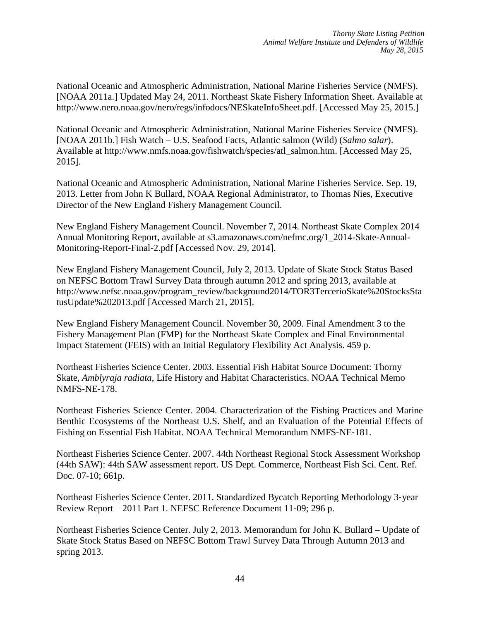National Oceanic and Atmospheric Administration, National Marine Fisheries Service (NMFS). [NOAA 2011a.] Updated May 24, 2011. Northeast Skate Fishery Information Sheet. Available a[t](http://www.nero.noaa.gov/nero/regs/infodocs/NESkateInfoSheet.pdf) <http://www.nero.noaa.gov/nero/regs/infodocs/NESkateInfoSheet.pdf>. [Accessed May 25, 2015.]

National Oceanic and Atmospheric Administration, National Marine Fisheries Service (NMFS). [NOAA 2011b.] Fish Watch – U.S. Seafood Facts, Atlantic salmon (Wild) (*Salmo salar*). Available at [http://www.nmfs.noaa.gov/fishwatch/species/atl\\_salmon.htm.](http://www.nmfs.noaa.gov/fishwatch/species/atl_salmon.htm) [Accessed May 25, 2015].

National Oceanic and Atmospheric Administration, National Marine Fisheries Service. Sep. 19, 2013. Letter from John K Bullard, NOAA Regional Administrator, to Thomas Nies, Executive Director of the New England Fishery Management Council.

New England Fishery Management Council. November 7, 2014. Northeast Skate Complex 2014 Annual Monitoring Report, available at s3.amazonaws.com/nefmc.org/1\_2014-Skate-Annual-Monitoring-Report-Final-2.pdf [Accessed Nov. 29, 2014].

New England Fishery Management Council, July 2, 2013. Update of Skate Stock Status Based on NEFSC Bottom Trawl Survey Data through autumn 2012 and spring 2013, available at http://www.nefsc.noaa.gov/program\_review/background2014/TOR3TercerioSkate%20StocksSta tusUpdate%202013.pdf [Accessed March 21, 2015].

New England Fishery Management Council. November 30, 2009. Final Amendment 3 to the Fishery Management Plan (FMP) for the Northeast Skate Complex and Final Environmental Impact Statement (FEIS) with an Initial Regulatory Flexibility Act Analysis. 459 p.

Northeast Fisheries Science Center. 2003. Essential Fish Habitat Source Document: Thorny Skate, *Amblyraja radiata*, Life History and Habitat Characteristics. NOAA Technical Memo NMFS‐NE‐178.

Northeast Fisheries Science Center. 2004. Characterization of the Fishing Practices and Marine Benthic Ecosystems of the Northeast U.S. Shelf, and an Evaluation of the Potential Effects of Fishing on Essential Fish Habitat. NOAA Technical Memorandum NMFS‐NE‐181.

Northeast Fisheries Science Center. 2007. 44th Northeast Regional Stock Assessment Workshop (44th SAW): 44th SAW assessment report. US Dept. Commerce, Northeast Fish Sci. Cent. Ref. Doc. 07-10; 661p.

Northeast Fisheries Science Center. 2011. Standardized Bycatch Reporting Methodology 3‐year Review Report – 2011 Part 1. NEFSC Reference Document 11‐09; 296 p.

Northeast Fisheries Science Center. July 2, 2013. Memorandum for John K. Bullard – Update of Skate Stock Status Based on NEFSC Bottom Trawl Survey Data Through Autumn 2013 and spring 2013.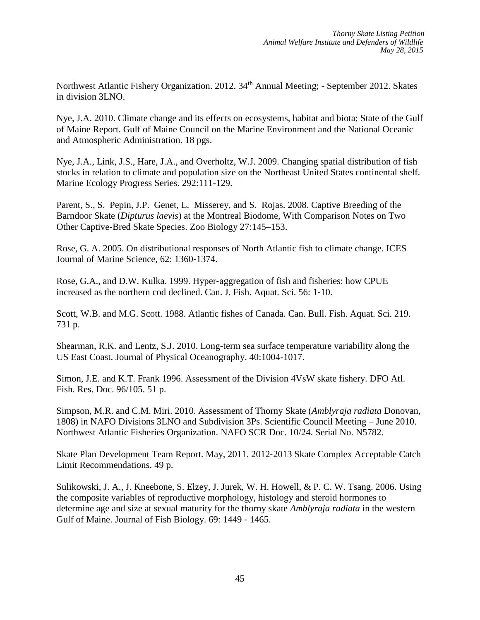Northwest Atlantic Fishery Organization. 2012. 34<sup>th</sup> Annual Meeting; - September 2012. Skates in division 3LNO.

Nye, J.A. 2010. Climate change and its effects on ecosystems, habitat and biota; State of the Gulf of Maine Report. Gulf of Maine Council on the Marine Environment and the National Oceanic and Atmospheric Administration. 18 pgs.

Nye, J.A., Link, J.S., Hare, J.A., and Overholtz, W.J. 2009. Changing spatial distribution of fish stocks in relation to climate and population size on the Northeast United States continental shelf. Marine Ecology Progress Series. 292:111-129.

Parent, S., S. Pepin, J.P. Genet, L. Misserey, and S. Rojas. 2008. Captive Breeding of the Barndoor Skate (*Dipturus laevis*) at the Montreal Biodome, With Comparison Notes on Two Other Captive‐Bred Skate Species. Zoo Biology 27:145–153.

Rose, G. A. 2005. On distributional responses of North Atlantic fish to climate change. ICES Journal of Marine Science, 62: 1360‐1374.

Rose, G.A., and D.W. Kulka. 1999. Hyper‐aggregation of fish and fisheries: how CPUE increased as the northern cod declined. Can. J. Fish. Aquat. Sci. 56: 1‐10.

Scott, W.B. and M.G. Scott. 1988. Atlantic fishes of Canada. Can. Bull. Fish. Aquat. Sci. 219. 731 p.

Shearman, R.K. and Lentz, S.J. 2010. Long-term sea surface temperature variability along the US East Coast. Journal of Physical Oceanography. 40:1004-1017.

Simon, J.E. and K.T. Frank 1996. Assessment of the Division 4VsW skate fishery. DFO Atl. Fish. Res. Doc. 96/105. 51 p.

Simpson, M.R. and C.M. Miri. 2010. Assessment of Thorny Skate (*Amblyraja radiata* Donovan, 1808) in NAFO Divisions 3LNO and Subdivision 3Ps. Scientific Council Meeting – June 2010. Northwest Atlantic Fisheries Organization. NAFO SCR Doc. 10/24. Serial No. N5782.

Skate Plan Development Team Report. May, 2011. 2012‐2013 Skate Complex Acceptable Catch Limit Recommendations. 49 p.

Sulikowski, J. A., J. Kneebone, S. Elzey, J. Jurek, W. H. Howell, & P. C. W. Tsang. 2006. Using the composite variables of reproductive morphology, histology and steroid hormones to determine age and size at sexual maturity for the thorny skate *Amblyraja radiata* in the western Gulf of Maine. Journal of Fish Biology. 69: 1449 ‐ 1465.